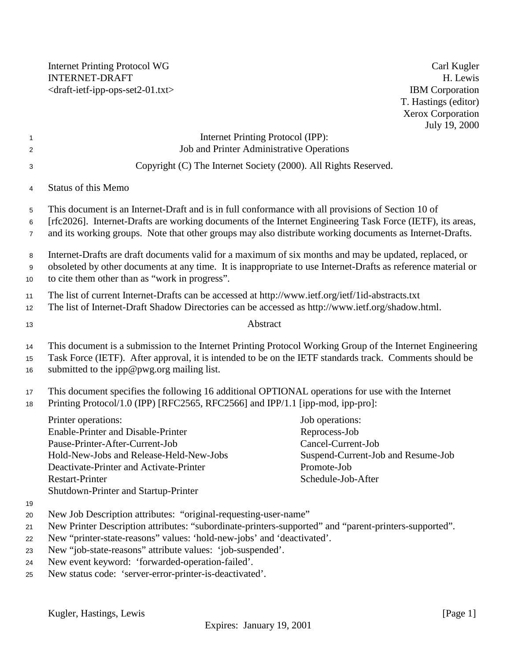Internet Printing Protocol WG Carl Kugler INTERNET-DRAFT H. Lewis <draft-ietf-ipp-ops-set2-01.txt> IBM Corporation

T. Hastings (editor) Xerox Corporation July 19, 2000

| $\overline{1}$<br>$\overline{c}$ | Internet Printing Protocol (IPP):<br>Job and Printer Administrative Operations                                                                                                                                                                                     |                                                                                                                                                                                                                        |  |
|----------------------------------|--------------------------------------------------------------------------------------------------------------------------------------------------------------------------------------------------------------------------------------------------------------------|------------------------------------------------------------------------------------------------------------------------------------------------------------------------------------------------------------------------|--|
| 3                                | Copyright (C) The Internet Society (2000). All Rights Reserved.                                                                                                                                                                                                    |                                                                                                                                                                                                                        |  |
| 4                                | <b>Status of this Memo</b>                                                                                                                                                                                                                                         |                                                                                                                                                                                                                        |  |
|                                  |                                                                                                                                                                                                                                                                    |                                                                                                                                                                                                                        |  |
| 5                                | This document is an Internet-Draft and is in full conformance with all provisions of Section 10 of                                                                                                                                                                 |                                                                                                                                                                                                                        |  |
| 6<br>$\overline{7}$              |                                                                                                                                                                                                                                                                    | [rfc2026]. Internet-Drafts are working documents of the Internet Engineering Task Force (IETF), its areas,<br>and its working groups. Note that other groups may also distribute working documents as Internet-Drafts. |  |
| 8                                |                                                                                                                                                                                                                                                                    | Internet-Drafts are draft documents valid for a maximum of six months and may be updated, replaced, or                                                                                                                 |  |
| 9                                |                                                                                                                                                                                                                                                                    | obsoleted by other documents at any time. It is inappropriate to use Internet-Drafts as reference material or                                                                                                          |  |
| 10                               | to cite them other than as "work in progress".                                                                                                                                                                                                                     |                                                                                                                                                                                                                        |  |
| 11                               | The list of current Internet-Drafts can be accessed at http://www.ietf.org/ietf/1id-abstracts.txt                                                                                                                                                                  |                                                                                                                                                                                                                        |  |
| 12                               | The list of Internet-Draft Shadow Directories can be accessed as http://www.ietf.org/shadow.html.                                                                                                                                                                  |                                                                                                                                                                                                                        |  |
| 13                               | Abstract                                                                                                                                                                                                                                                           |                                                                                                                                                                                                                        |  |
| 14<br>15<br>16                   | This document is a submission to the Internet Printing Protocol Working Group of the Internet Engineering<br>Task Force (IETF). After approval, it is intended to be on the IETF standards track. Comments should be<br>submitted to the ipp@pwg.org mailing list. |                                                                                                                                                                                                                        |  |
| 17<br>18                         | This document specifies the following 16 additional OPTIONAL operations for use with the Internet<br>Printing Protocol/1.0 (IPP) [RFC2565, RFC2566] and IPP/1.1 [ipp-mod, ipp-pro]:                                                                                |                                                                                                                                                                                                                        |  |
|                                  | Printer operations:                                                                                                                                                                                                                                                | Job operations:                                                                                                                                                                                                        |  |
|                                  | Enable-Printer and Disable-Printer                                                                                                                                                                                                                                 | Reprocess-Job                                                                                                                                                                                                          |  |
|                                  | Pause-Printer-After-Current-Job                                                                                                                                                                                                                                    | Cancel-Current-Job                                                                                                                                                                                                     |  |
|                                  | Hold-New-Jobs and Release-Held-New-Jobs                                                                                                                                                                                                                            | Suspend-Current-Job and Resume-Job                                                                                                                                                                                     |  |
|                                  | Deactivate-Printer and Activate-Printer                                                                                                                                                                                                                            | Promote-Job                                                                                                                                                                                                            |  |
|                                  | <b>Restart-Printer</b>                                                                                                                                                                                                                                             | Schedule-Job-After                                                                                                                                                                                                     |  |
|                                  | Shutdown-Printer and Startup-Printer                                                                                                                                                                                                                               |                                                                                                                                                                                                                        |  |
| 19                               |                                                                                                                                                                                                                                                                    |                                                                                                                                                                                                                        |  |
| 20                               | New Job Description attributes: "original-requesting-user-name"                                                                                                                                                                                                    |                                                                                                                                                                                                                        |  |
| 21                               | New Printer Description attributes: "subordinate-printers-supported" and "parent-printers-supported".                                                                                                                                                              |                                                                                                                                                                                                                        |  |
| 22                               | New "printer-state-reasons" values: 'hold-new-jobs' and 'deactivated'.                                                                                                                                                                                             |                                                                                                                                                                                                                        |  |
| 23<br>24                         | New "job-state-reasons" attribute values: 'job-suspended'.<br>New event keyword: 'forwarded-operation-failed'.                                                                                                                                                     |                                                                                                                                                                                                                        |  |
|                                  |                                                                                                                                                                                                                                                                    |                                                                                                                                                                                                                        |  |

<sup>25</sup> New status code: 'server-error-printer-is-deactivated'.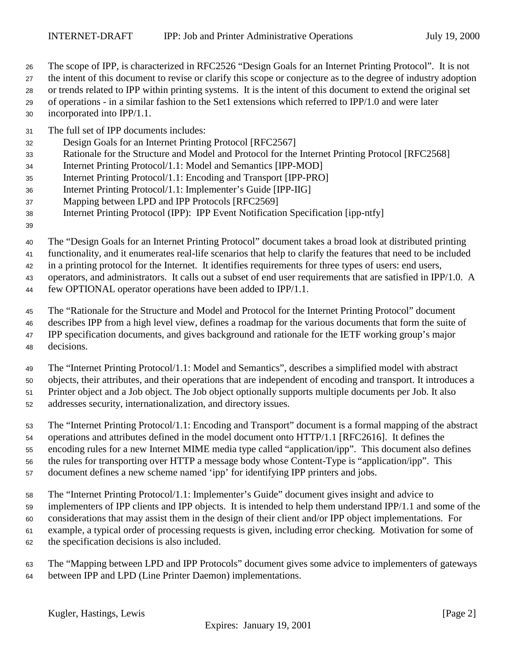- The scope of IPP, is characterized in RFC2526 "Design Goals for an Internet Printing Protocol". It is not
- the intent of this document to revise or clarify this scope or conjecture as to the degree of industry adoption
- or trends related to IPP within printing systems. It is the intent of this document to extend the original set
- of operations in a similar fashion to the Set1 extensions which referred to IPP/1.0 and were later incorporated into IPP/1.1.
- 
- The full set of IPP documents includes:
- Design Goals for an Internet Printing Protocol [RFC2567]
- Rationale for the Structure and Model and Protocol for the Internet Printing Protocol [RFC2568]
- Internet Printing Protocol/1.1: Model and Semantics [IPP-MOD]
- Internet Printing Protocol/1.1: Encoding and Transport [IPP-PRO]
- Internet Printing Protocol/1.1: Implementer's Guide [IPP-IIG]
- Mapping between LPD and IPP Protocols [RFC2569]
- Internet Printing Protocol (IPP): IPP Event Notification Specification [ipp-ntfy]
- 

The "Design Goals for an Internet Printing Protocol" document takes a broad look at distributed printing

functionality, and it enumerates real-life scenarios that help to clarify the features that need to be included

in a printing protocol for the Internet. It identifies requirements for three types of users: end users,

operators, and administrators. It calls out a subset of end user requirements that are satisfied in IPP/1.0. A

few OPTIONAL operator operations have been added to IPP/1.1.

The "Rationale for the Structure and Model and Protocol for the Internet Printing Protocol" document

- describes IPP from a high level view, defines a roadmap for the various documents that form the suite of IPP specification documents, and gives background and rationale for the IETF working group's major decisions.
- The "Internet Printing Protocol/1.1: Model and Semantics", describes a simplified model with abstract objects, their attributes, and their operations that are independent of encoding and transport. It introduces a Printer object and a Job object. The Job object optionally supports multiple documents per Job. It also
- addresses security, internationalization, and directory issues.

 The "Internet Printing Protocol/1.1: Encoding and Transport" document is a formal mapping of the abstract operations and attributes defined in the model document onto HTTP/1.1 [RFC2616]. It defines the encoding rules for a new Internet MIME media type called "application/ipp". This document also defines the rules for transporting over HTTP a message body whose Content-Type is "application/ipp". This document defines a new scheme named 'ipp' for identifying IPP printers and jobs.

The "Internet Printing Protocol/1.1: Implementer's Guide" document gives insight and advice to

- implementers of IPP clients and IPP objects. It is intended to help them understand IPP/1.1 and some of the considerations that may assist them in the design of their client and/or IPP object implementations. For
- example, a typical order of processing requests is given, including error checking. Motivation for some of
- the specification decisions is also included.
- The "Mapping between LPD and IPP Protocols" document gives some advice to implementers of gateways
- between IPP and LPD (Line Printer Daemon) implementations.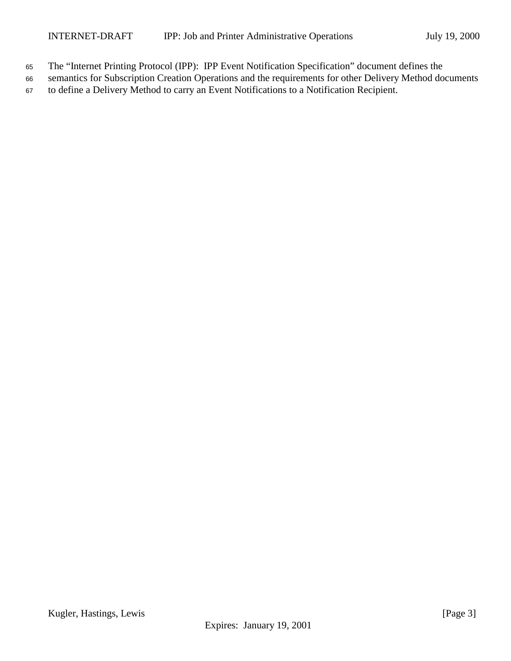- <sup>65</sup> The "Internet Printing Protocol (IPP): IPP Event Notification Specification" document defines the
- <sup>66</sup> semantics for Subscription Creation Operations and the requirements for other Delivery Method documents
- <sup>67</sup> to define a Delivery Method to carry an Event Notifications to a Notification Recipient.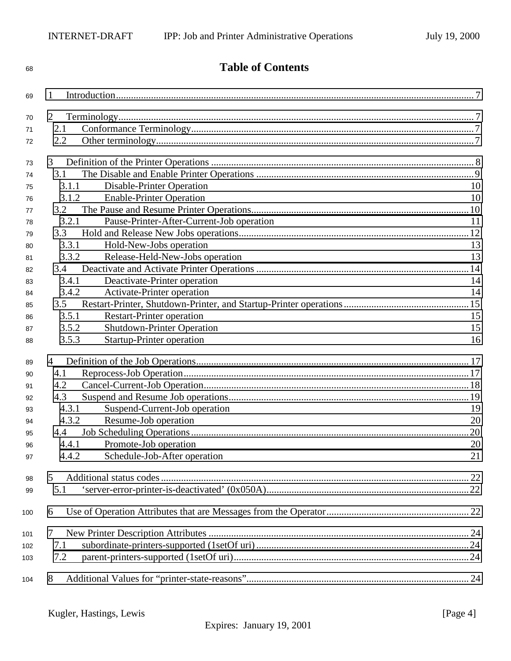| 68  | <b>Table of Contents</b>                           |    |  |
|-----|----------------------------------------------------|----|--|
| 69  | 1                                                  |    |  |
| 70  | $\overline{2}$                                     |    |  |
| 71  | 2.1                                                |    |  |
| 72  | 2.2                                                |    |  |
|     |                                                    |    |  |
| 73  | 3                                                  |    |  |
| 74  | 3.1                                                |    |  |
| 75  | Disable-Printer Operation<br>3.1.1                 | 10 |  |
| 76  | 3.1.2<br><b>Enable-Printer Operation</b>           | 10 |  |
| 77  | 3.2                                                |    |  |
| 78  | 3.2.1<br>Pause-Printer-After-Current-Job operation | 11 |  |
| 79  | 3.3                                                |    |  |
| 80  | 3.3.1<br>Hold-New-Jobs operation                   | 13 |  |
| 81  | 3.3.2<br>Release-Held-New-Jobs operation           | 13 |  |
| 82  | 3.4                                                |    |  |
| 83  | Deactivate-Printer operation<br>3.4.1              | 14 |  |
| 84  | 3.4.2<br>Activate-Printer operation                | 14 |  |
| 85  | 3.5                                                |    |  |
| 86  | <b>Restart-Printer operation</b><br>3.5.1          | 15 |  |
| 87  | <b>Shutdown-Printer Operation</b><br>3.5.2         | 15 |  |
| 88  | <b>Startup-Printer operation</b><br>3.5.3          | 16 |  |
| 89  | 4                                                  |    |  |
| 90  | 4.1                                                |    |  |
| 91  | 4.2                                                |    |  |
| 92  | 4.3                                                |    |  |
| 93  | Suspend-Current-Job operation<br>4.3.1             | 19 |  |
| 94  | 4.3.2<br>Resume-Job operation                      | 20 |  |
| 95  |                                                    | 20 |  |
| 96  | 4.4.1<br>Promote-Job operation                     | 20 |  |
| 97  | Schedule-Job-After operation<br>4.4.2              | 21 |  |
| 98  | 5                                                  |    |  |
| 99  | 5.1                                                |    |  |
| 100 | 6                                                  |    |  |
| 101 | 7                                                  |    |  |
| 102 | 7.1                                                |    |  |
| 103 | 7.2                                                |    |  |
| 104 | 8                                                  |    |  |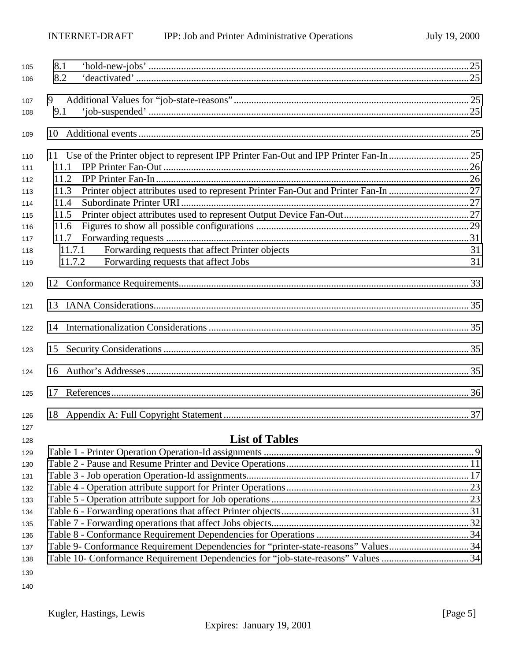| 105        | 8.1                                                                                       |    |
|------------|-------------------------------------------------------------------------------------------|----|
| 106        | 8.2                                                                                       |    |
|            |                                                                                           |    |
| 107        | 9<br>9.1                                                                                  |    |
| 108        |                                                                                           |    |
| 109        | 10                                                                                        |    |
| 110        |                                                                                           |    |
| 111        | 11.1                                                                                      |    |
| 112        | 11.2                                                                                      |    |
| 113        | Printer object attributes used to represent Printer Fan-Out and Printer Fan-In 27<br>11.3 |    |
| 114        | 11.4                                                                                      |    |
| 115        | 11.5                                                                                      |    |
| 116        | 11.6                                                                                      |    |
| 117        | 11.7                                                                                      |    |
| 118        | Forwarding requests that affect Printer objects<br>11.7.1                                 | 31 |
| 119        | 11.7.2<br>Forwarding requests that affect Jobs                                            | 31 |
| 120        |                                                                                           |    |
| 121        |                                                                                           |    |
| 122        |                                                                                           |    |
| 123        | 15                                                                                        |    |
| 124        |                                                                                           |    |
| 125        | 17                                                                                        |    |
|            | 18                                                                                        |    |
| 126<br>127 |                                                                                           |    |
|            | <b>List of Tables</b>                                                                     |    |
| 128        |                                                                                           |    |
| 129        |                                                                                           |    |
| 130        |                                                                                           |    |
| 131        |                                                                                           |    |
| 132        |                                                                                           |    |
| 133        |                                                                                           |    |
| 134        |                                                                                           |    |
| 135        |                                                                                           |    |
| 136        |                                                                                           |    |
| 137        | Table 9- Conformance Requirement Dependencies for "printer-state-reasons" Values34        |    |
| 138        | Table 10- Conformance Requirement Dependencies for "job-state-reasons" Values 34          |    |
| 139        |                                                                                           |    |
| 140        |                                                                                           |    |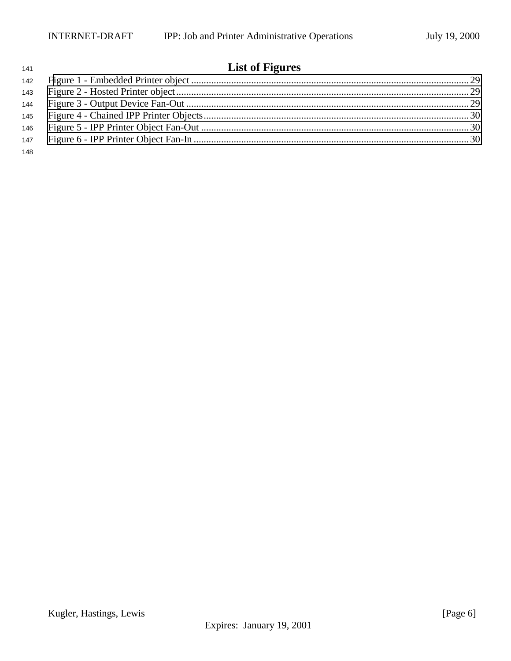# **List of Figures**

Kugler, Hastings, Lewis [Page 6] Expires: January 19, 2001

| 148 |  |
|-----|--|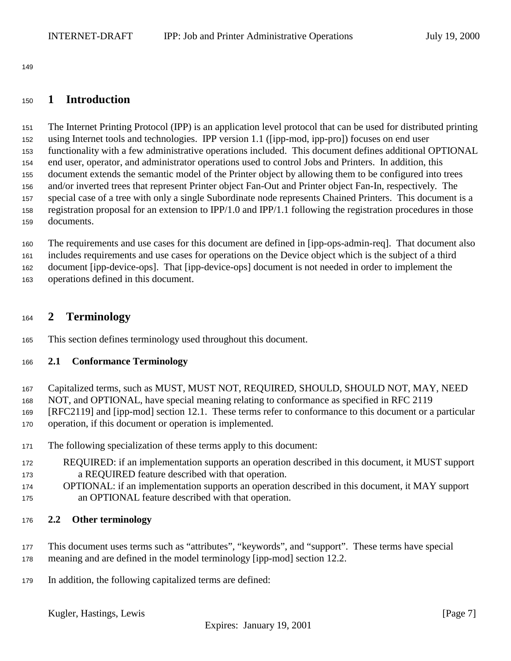<span id="page-6-0"></span>

## **1 Introduction**

 The Internet Printing Protocol (IPP) is an application level protocol that can be used for distributed printing using Internet tools and technologies. IPP version 1.1 ([ipp-mod, ipp-pro]) focuses on end user functionality with a few administrative operations included. This document defines additional OPTIONAL end user, operator, and administrator operations used to control Jobs and Printers. In addition, this document extends the semantic model of the Printer object by allowing them to be configured into trees and/or inverted trees that represent Printer object Fan-Out and Printer object Fan-In, respectively. The special case of a tree with only a single Subordinate node represents Chained Printers. This document is a registration proposal for an extension to IPP/1.0 and IPP/1.1 following the registration procedures in those documents.

 The requirements and use cases for this document are defined in [ipp-ops-admin-req]. That document also includes requirements and use cases for operations on the Device object which is the subject of a third document [ipp-device-ops]. That [ipp-device-ops] document is not needed in order to implement the operations defined in this document.

## **2 Terminology**

This section defines terminology used throughout this document.

## **2.1 Conformance Terminology**

- Capitalized terms, such as MUST, MUST NOT, REQUIRED, SHOULD, SHOULD NOT, MAY, NEED
- NOT, and OPTIONAL, have special meaning relating to conformance as specified in RFC 2119
- [RFC2119] and [ipp-mod] section 12.1. These terms refer to conformance to this document or a particular
- operation, if this document or operation is implemented.
- The following specialization of these terms apply to this document:
- REQUIRED: if an implementation supports an operation described in this document, it MUST support a REQUIRED feature described with that operation.
- OPTIONAL: if an implementation supports an operation described in this document, it MAY support an OPTIONAL feature described with that operation.

## **2.2 Other terminology**

- This document uses terms such as "attributes", "keywords", and "support". These terms have special meaning and are defined in the model terminology [ipp-mod] section 12.2.
- In addition, the following capitalized terms are defined: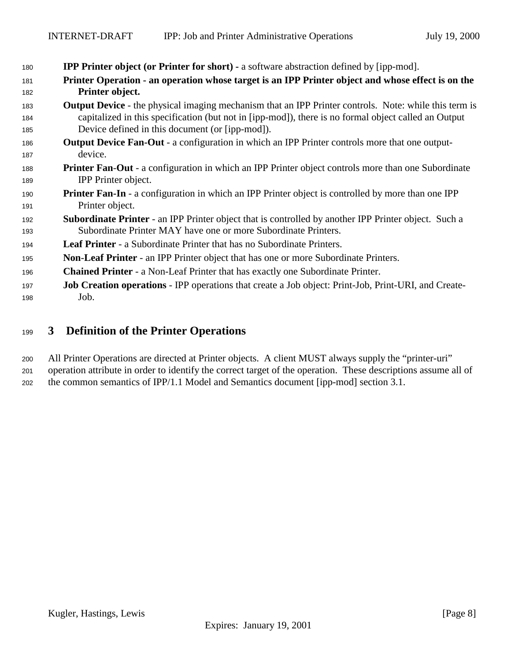<span id="page-7-0"></span>

| 180 | <b>IPP Printer object (or Printer for short)</b> - a software abstraction defined by [ipp-mod].              |
|-----|--------------------------------------------------------------------------------------------------------------|
| 181 | Printer Operation - an operation whose target is an IPP Printer object and whose effect is on the            |
| 182 | Printer object.                                                                                              |
| 183 | <b>Output Device</b> - the physical imaging mechanism that an IPP Printer controls. Note: while this term is |
| 184 | capitalized in this specification (but not in [ipp-mod]), there is no formal object called an Output         |
| 185 | Device defined in this document (or [ipp-mod]).                                                              |
| 186 | <b>Output Device Fan-Out</b> - a configuration in which an IPP Printer controls more that one output-        |
| 187 | device.                                                                                                      |
| 188 | <b>Printer Fan-Out</b> - a configuration in which an IPP Printer object controls more than one Subordinate   |
| 189 | IPP Printer object.                                                                                          |
| 190 | <b>Printer Fan-In</b> - a configuration in which an IPP Printer object is controlled by more than one IPP    |
| 191 | Printer object.                                                                                              |
| 192 | <b>Subordinate Printer</b> - an IPP Printer object that is controlled by another IPP Printer object. Such a  |
| 193 | Subordinate Printer MAY have one or more Subordinate Printers.                                               |
| 194 | <b>Leaf Printer</b> - a Subordinate Printer that has no Subordinate Printers.                                |
| 195 | <b>Non-Leaf Printer</b> - an IPP Printer object that has one or more Subordinate Printers.                   |
| 196 | <b>Chained Printer</b> - a Non-Leaf Printer that has exactly one Subordinate Printer.                        |
| 197 | <b>Job Creation operations - IPP operations that create a Job object: Print-Job, Print-URI, and Create-</b>  |
| 198 | Job.                                                                                                         |

## **3 Definition of the Printer Operations**

 All Printer Operations are directed at Printer objects. A client MUST always supply the "printer-uri" operation attribute in order to identify the correct target of the operation. These descriptions assume all of the common semantics of IPP/1.1 Model and Semantics document [ipp-mod] section 3.1.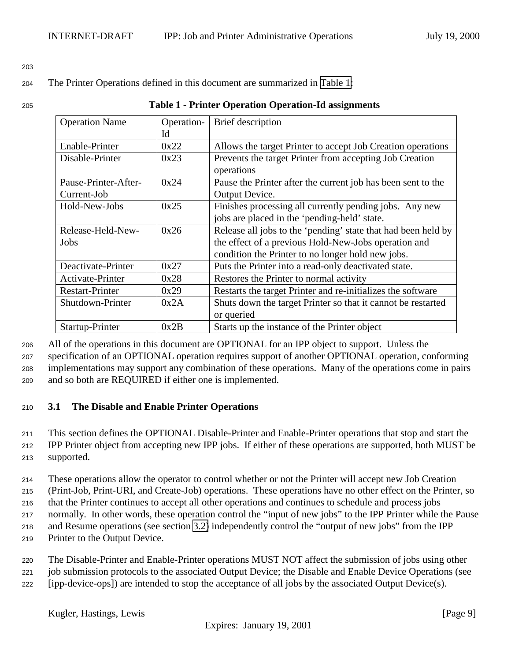#### <span id="page-8-0"></span>203

#### <sup>204</sup> The Printer Operations defined in this document are summarized in Table 1:

| 205 | <b>Table 1 - Printer Operation Operation-Id assignments</b> |  |
|-----|-------------------------------------------------------------|--|
|     |                                                             |  |

| <b>Operation Name</b><br>Operation- |      | Brief description                                             |  |
|-------------------------------------|------|---------------------------------------------------------------|--|
|                                     | Id   |                                                               |  |
| Enable-Printer                      | 0x22 | Allows the target Printer to accept Job Creation operations   |  |
| Disable-Printer                     | 0x23 | Prevents the target Printer from accepting Job Creation       |  |
|                                     |      | operations                                                    |  |
| Pause-Printer-After-                | 0x24 | Pause the Printer after the current job has been sent to the  |  |
| Current-Job                         |      | Output Device.                                                |  |
| Hold-New-Jobs                       | 0x25 | Finishes processing all currently pending jobs. Any new       |  |
|                                     |      | jobs are placed in the 'pending-held' state.                  |  |
| Release-Held-New-                   | 0x26 | Release all jobs to the 'pending' state that had been held by |  |
| Jobs                                |      | the effect of a previous Hold-New-Jobs operation and          |  |
|                                     |      | condition the Printer to no longer hold new jobs.             |  |
| Deactivate-Printer                  | 0x27 | Puts the Printer into a read-only deactivated state.          |  |
| Activate-Printer                    | 0x28 | Restores the Printer to normal activity                       |  |
| <b>Restart-Printer</b>              | 0x29 | Restarts the target Printer and re-initializes the software   |  |
| Shutdown-Printer                    | 0x2A | Shuts down the target Printer so that it cannot be restarted  |  |
|                                     |      | or queried                                                    |  |
| Startup-Printer                     | 0x2B | Starts up the instance of the Printer object                  |  |

 All of the operations in this document are OPTIONAL for an IPP object to support. Unless the specification of an OPTIONAL operation requires support of another OPTIONAL operation, conforming implementations may support any combination of these operations. Many of the operations come in pairs and so both are REQUIRED if either one is implemented.

## <sup>210</sup> **3.1 The Disable and Enable Printer Operations**

<sup>211</sup> This section defines the OPTIONAL Disable-Printer and Enable-Printer operations that stop and start the <sup>212</sup> IPP Printer object from accepting new IPP jobs. If either of these operations are supported, both MUST be <sup>213</sup> supported.

<sup>214</sup> These operations allow the operator to control whether or not the Printer will accept new Job Creation

<sup>215</sup> (Print-Job, Print-URI, and Create-Job) operations. These operations have no other effect on the Printer, so

<sup>216</sup> that the Printer continues to accept all other operations and continues to schedule and process jobs

- <sup>217</sup> normally. In other words, these operation control the "input of new jobs" to the IPP Printer while the Pause <sup>218</sup> and Resume operations (see section [3.2\)](#page-9-0) independently control the "output of new jobs" from the IPP
- <sup>219</sup> Printer to the Output Device.
- <sup>220</sup> The Disable-Printer and Enable-Printer operations MUST NOT affect the submission of jobs using other <sup>221</sup> job submission protocols to the associated Output Device; the Disable and Enable Device Operations (see
- <sup>222</sup> [ipp-device-ops]) are intended to stop the acceptance of all jobs by the associated Output Device(s).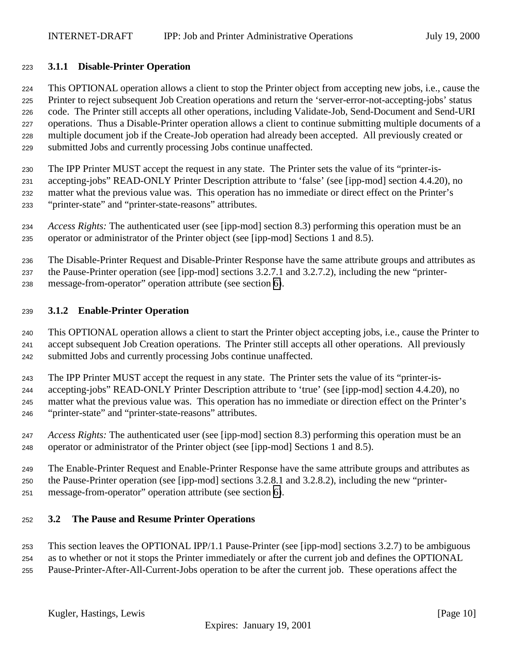## <span id="page-9-0"></span>**3.1.1 Disable-Printer Operation**

 This OPTIONAL operation allows a client to stop the Printer object from accepting new jobs, i.e., cause the Printer to reject subsequent Job Creation operations and return the 'server-error-not-accepting-jobs' status code. The Printer still accepts all other operations, including Validate-Job, Send-Document and Send-URI operations. Thus a Disable-Printer operation allows a client to continue submitting multiple documents of a multiple document job if the Create-Job operation had already been accepted. All previously created or submitted Jobs and currently processing Jobs continue unaffected.

 The IPP Printer MUST accept the request in any state. The Printer sets the value of its "printer-is- accepting-jobs" READ-ONLY Printer Description attribute to 'false' (see [ipp-mod] section 4.4.20), no matter what the previous value was. This operation has no immediate or direct effect on the Printer's "printer-state" and "printer-state-reasons" attributes.

 *Access Rights:* The authenticated user (see [ipp-mod] section 8.3) performing this operation must be an operator or administrator of the Printer object (see [ipp-mod] Sections 1 and 8.5).

 The Disable-Printer Request and Disable-Printer Response have the same attribute groups and attributes as the Pause-Printer operation (see [ipp-mod] sections 3.2.7.1 and 3.2.7.2), including the new "printer-

message-from-operator" operation attribute (see section [6\)](#page-21-0).

## **3.1.2 Enable-Printer Operation**

 This OPTIONAL operation allows a client to start the Printer object accepting jobs, i.e., cause the Printer to accept subsequent Job Creation operations. The Printer still accepts all other operations. All previously submitted Jobs and currently processing Jobs continue unaffected.

The IPP Printer MUST accept the request in any state. The Printer sets the value of its "printer-is-

 accepting-jobs" READ-ONLY Printer Description attribute to 'true' (see [ipp-mod] section 4.4.20), no matter what the previous value was. This operation has no immediate or direction effect on the Printer's "printer-state" and "printer-state-reasons" attributes.

 *Access Rights:* The authenticated user (see [ipp-mod] section 8.3) performing this operation must be an operator or administrator of the Printer object (see [ipp-mod] Sections 1 and 8.5).

 The Enable-Printer Request and Enable-Printer Response have the same attribute groups and attributes as the Pause-Printer operation (see [ipp-mod] sections 3.2.8.1 and 3.2.8.2), including the new "printer-message-from-operator" operation attribute (see section [6\)](#page-21-0).

## **3.2 The Pause and Resume Printer Operations**

This section leaves the OPTIONAL IPP/1.1 Pause-Printer (see [ipp-mod] sections 3.2.7) to be ambiguous

as to whether or not it stops the Printer immediately or after the current job and defines the OPTIONAL

Pause-Printer-After-All-Current-Jobs operation to be after the current job. These operations affect the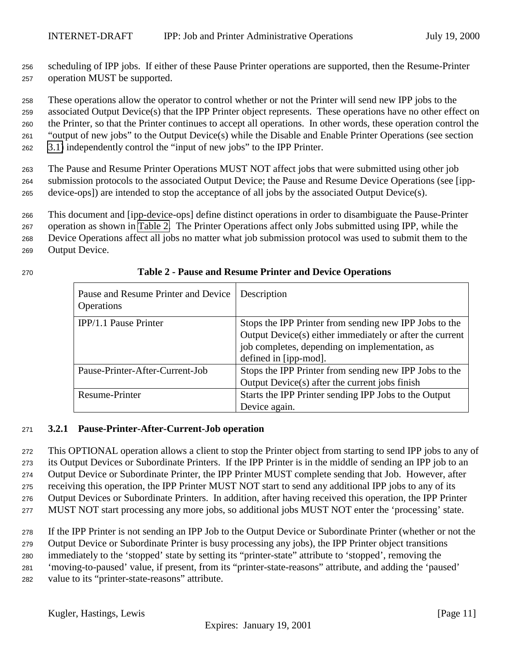<span id="page-10-0"></span> scheduling of IPP jobs. If either of these Pause Printer operations are supported, then the Resume-Printer operation MUST be supported.

These operations allow the operator to control whether or not the Printer will send new IPP jobs to the

 associated Output Device(s) that the IPP Printer object represents. These operations have no other effect on the Printer, so that the Printer continues to accept all operations. In other words, these operation control the "output of new jobs" to the Output Device(s) while the Disable and Enable Printer Operations (see section

[3.1\)](#page-8-0) independently control the "input of new jobs" to the IPP Printer.

 The Pause and Resume Printer Operations MUST NOT affect jobs that were submitted using other job submission protocols to the associated Output Device; the Pause and Resume Device Operations (see [ipp-device-ops]) are intended to stop the acceptance of all jobs by the associated Output Device(s).

This document and [ipp-device-ops] define distinct operations in order to disambiguate the Pause-Printer

operation as shown in Table 2. The Printer Operations affect only Jobs submitted using IPP, while the

Device Operations affect all jobs no matter what job submission protocol was used to submit them to the

Output Device.

| Pause and Resume Printer and Device   Description<br>Operations |                                                                                                                                                                                               |
|-----------------------------------------------------------------|-----------------------------------------------------------------------------------------------------------------------------------------------------------------------------------------------|
| IPP/1.1 Pause Printer                                           | Stops the IPP Printer from sending new IPP Jobs to the<br>Output Device(s) either immediately or after the current<br>job completes, depending on implementation, as<br>defined in [ipp-mod]. |
| Pause-Printer-After-Current-Job                                 | Stops the IPP Printer from sending new IPP Jobs to the<br>Output Device(s) after the current jobs finish                                                                                      |

Resume-Printer Starts the IPP Printer sending IPP Jobs to the Output Device again.

## **Table 2 - Pause and Resume Printer and Device Operations**

## **3.2.1 Pause-Printer-After-Current-Job operation**

 This OPTIONAL operation allows a client to stop the Printer object from starting to send IPP jobs to any of its Output Devices or Subordinate Printers. If the IPP Printer is in the middle of sending an IPP job to an Output Device or Subordinate Printer, the IPP Printer MUST complete sending that Job. However, after receiving this operation, the IPP Printer MUST NOT start to send any additional IPP jobs to any of its Output Devices or Subordinate Printers. In addition, after having received this operation, the IPP Printer

MUST NOT start processing any more jobs, so additional jobs MUST NOT enter the 'processing' state.

If the IPP Printer is not sending an IPP Job to the Output Device or Subordinate Printer (whether or not the

Output Device or Subordinate Printer is busy processing any jobs), the IPP Printer object transitions

immediately to the 'stopped' state by setting its "printer-state" attribute to 'stopped', removing the

'moving-to-paused' value, if present, from its "printer-state-reasons" attribute, and adding the 'paused'

value to its "printer-state-reasons" attribute.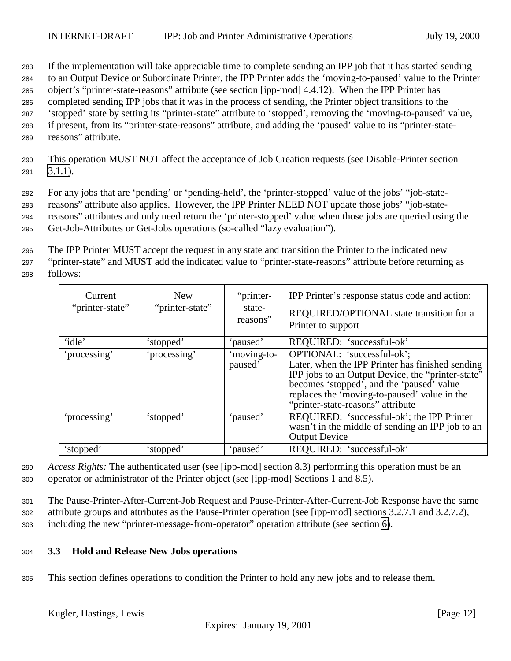<span id="page-11-0"></span><sup>283</sup> If the implementation will take appreciable time to complete sending an IPP job that it has started sending

<sup>284</sup> to an Output Device or Subordinate Printer, the IPP Printer adds the 'moving-to-paused' value to the Printer

<sup>285</sup> object's "printer-state-reasons" attribute (see section [ipp-mod] 4.4.12). When the IPP Printer has

<sup>286</sup> completed sending IPP jobs that it was in the process of sending, the Printer object transitions to the

<sup>287</sup> 'stopped' state by setting its "printer-state" attribute to 'stopped', removing the 'moving-to-paused' value, <sup>288</sup> if present, from its "printer-state-reasons" attribute, and adding the 'paused' value to its "printer-state-

- 
- <sup>289</sup> reasons" attribute.

<sup>290</sup> This operation MUST NOT affect the acceptance of Job Creation requests (see Disable-Printer section  $291$   $3.1.1$ ).

<sup>292</sup> For any jobs that are 'pending' or 'pending-held', the 'printer-stopped' value of the jobs' "job-state-

<sup>293</sup> reasons" attribute also applies. However, the IPP Printer NEED NOT update those jobs' "job-state-

<sup>294</sup> reasons" attributes and only need return the 'printer-stopped' value when those jobs are queried using the

<sup>295</sup> Get-Job-Attributes or Get-Jobs operations (so-called "lazy evaluation").

<sup>296</sup> The IPP Printer MUST accept the request in any state and transition the Printer to the indicated new

<sup>297</sup> "printer-state" and MUST add the indicated value to "printer-state-reasons" attribute before returning as <sup>298</sup> follows:

| Current<br>"printer-state" | New<br>"printer-state" | "printer-<br>state-<br>reasons" | IPP Printer's response status code and action:<br>REQUIRED/OPTIONAL state transition for a<br>Printer to support                                                                                                                                                      |
|----------------------------|------------------------|---------------------------------|-----------------------------------------------------------------------------------------------------------------------------------------------------------------------------------------------------------------------------------------------------------------------|
| 'idle'                     | 'stopped'              | 'paused'                        | REQUIRED: 'successful-ok'                                                                                                                                                                                                                                             |
| 'processing'               | 'processing'           | 'moving-to-<br>paused'          | OPTIONAL: 'successful-ok';<br>Later, when the IPP Printer has finished sending<br>IPP jobs to an Output Device, the "printer-state"<br>becomes 'stopped', and the 'paused' value<br>replaces the 'moving-to-paused' value in the<br>"printer-state-reasons" attribute |
| 'processing'               | 'stopped'              | 'paused'                        | REQUIRED: 'successful-ok'; the IPP Printer<br>wasn't in the middle of sending an IPP job to an<br><b>Output Device</b>                                                                                                                                                |
| 'stopped'                  | 'stopped'              | 'paused'                        | REQUIRED: 'successful-ok'                                                                                                                                                                                                                                             |

<sup>299</sup> *Access Rights:* The authenticated user (see [ipp-mod] section 8.3) performing this operation must be an <sup>300</sup> operator or administrator of the Printer object (see [ipp-mod] Sections 1 and 8.5).

<sup>301</sup> The Pause-Printer-After-Current-Job Request and Pause-Printer-After-Current-Job Response have the same <sup>302</sup> attribute groups and attributes as the Pause-Printer operation (see [ipp-mod] sections 3.2.7.1 and 3.2.7.2), <sup>303</sup> including the new "printer-message-from-operator" operation attribute (see section [6\)](#page-21-0).

## <sup>304</sup> **3.3 Hold and Release New Jobs operations**

<sup>305</sup> This section defines operations to condition the Printer to hold any new jobs and to release them.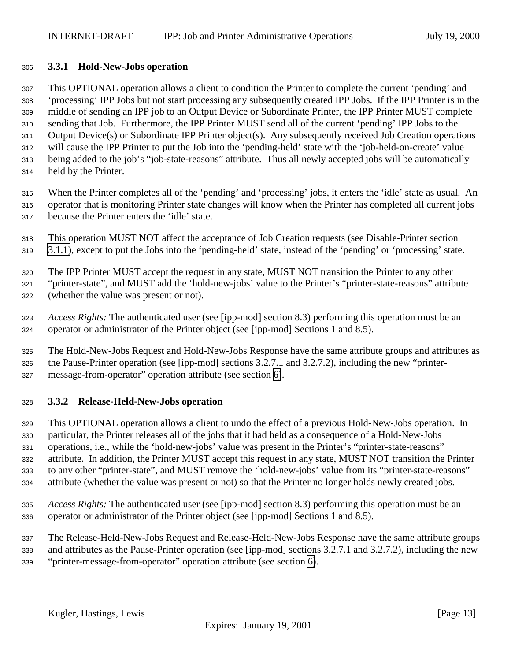#### <span id="page-12-0"></span>**3.3.1 Hold-New-Jobs operation**

 This OPTIONAL operation allows a client to condition the Printer to complete the current 'pending' and 'processing' IPP Jobs but not start processing any subsequently created IPP Jobs. If the IPP Printer is in the middle of sending an IPP job to an Output Device or Subordinate Printer, the IPP Printer MUST complete sending that Job. Furthermore, the IPP Printer MUST send all of the current 'pending' IPP Jobs to the Output Device(s) or Subordinate IPP Printer object(s). Any subsequently received Job Creation operations will cause the IPP Printer to put the Job into the 'pending-held' state with the 'job-held-on-create' value being added to the job's "job-state-reasons" attribute. Thus all newly accepted jobs will be automatically held by the Printer.

 When the Printer completes all of the 'pending' and 'processing' jobs, it enters the 'idle' state as usual. An operator that is monitoring Printer state changes will know when the Printer has completed all current jobs because the Printer enters the 'idle' state.

 This operation MUST NOT affect the acceptance of Job Creation requests (see Disable-Printer section [3.1.1\)](#page-9-0), except to put the Jobs into the 'pending-held' state, instead of the 'pending' or 'processing' state.

The IPP Printer MUST accept the request in any state, MUST NOT transition the Printer to any other

 "printer-state", and MUST add the 'hold-new-jobs' value to the Printer's "printer-state-reasons" attribute (whether the value was present or not).

- *Access Rights:* The authenticated user (see [ipp-mod] section 8.3) performing this operation must be an operator or administrator of the Printer object (see [ipp-mod] Sections 1 and 8.5).
- The Hold-New-Jobs Request and Hold-New-Jobs Response have the same attribute groups and attributes as the Pause-Printer operation (see [ipp-mod] sections 3.2.7.1 and 3.2.7.2), including the new "printer-message-from-operator" operation attribute (see section [6\)](#page-21-0).

## **3.3.2 Release-Held-New-Jobs operation**

 This OPTIONAL operation allows a client to undo the effect of a previous Hold-New-Jobs operation. In particular, the Printer releases all of the jobs that it had held as a consequence of a Hold-New-Jobs operations, i.e., while the 'hold-new-jobs' value was present in the Printer's "printer-state-reasons" attribute. In addition, the Printer MUST accept this request in any state, MUST NOT transition the Printer to any other "printer-state", and MUST remove the 'hold-new-jobs' value from its "printer-state-reasons" attribute (whether the value was present or not) so that the Printer no longer holds newly created jobs.

 *Access Rights:* The authenticated user (see [ipp-mod] section 8.3) performing this operation must be an operator or administrator of the Printer object (see [ipp-mod] Sections 1 and 8.5).

 The Release-Held-New-Jobs Request and Release-Held-New-Jobs Response have the same attribute groups and attributes as the Pause-Printer operation (see [ipp-mod] sections 3.2.7.1 and 3.2.7.2), including the new

"printer-message-from-operator" operation attribute (see section [6\)](#page-21-0).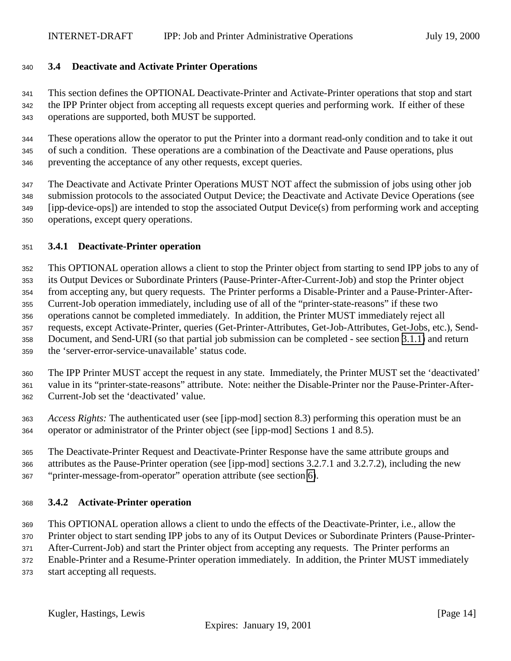## <span id="page-13-0"></span>**3.4 Deactivate and Activate Printer Operations**

 This section defines the OPTIONAL Deactivate-Printer and Activate-Printer operations that stop and start the IPP Printer object from accepting all requests except queries and performing work. If either of these operations are supported, both MUST be supported.

 These operations allow the operator to put the Printer into a dormant read-only condition and to take it out of such a condition. These operations are a combination of the Deactivate and Pause operations, plus preventing the acceptance of any other requests, except queries.

 The Deactivate and Activate Printer Operations MUST NOT affect the submission of jobs using other job submission protocols to the associated Output Device; the Deactivate and Activate Device Operations (see [ipp-device-ops]) are intended to stop the associated Output Device(s) from performing work and accepting operations, except query operations.

#### **3.4.1 Deactivate-Printer operation**

 This OPTIONAL operation allows a client to stop the Printer object from starting to send IPP jobs to any of its Output Devices or Subordinate Printers (Pause-Printer-After-Current-Job) and stop the Printer object from accepting any, but query requests. The Printer performs a Disable-Printer and a Pause-Printer-After- Current-Job operation immediately, including use of all of the "printer-state-reasons" if these two operations cannot be completed immediately. In addition, the Printer MUST immediately reject all requests, except Activate-Printer, queries (Get-Printer-Attributes, Get-Job-Attributes, Get-Jobs, etc.), Send- Document, and Send-URI (so that partial job submission can be completed - see section [3.1.1\)](#page-9-0) and return the 'server-error-service-unavailable' status code.

 The IPP Printer MUST accept the request in any state. Immediately, the Printer MUST set the 'deactivated' value in its "printer-state-reasons" attribute. Note: neither the Disable-Printer nor the Pause-Printer-After-Current-Job set the 'deactivated' value.

 *Access Rights:* The authenticated user (see [ipp-mod] section 8.3) performing this operation must be an operator or administrator of the Printer object (see [ipp-mod] Sections 1 and 8.5).

 The Deactivate-Printer Request and Deactivate-Printer Response have the same attribute groups and attributes as the Pause-Printer operation (see [ipp-mod] sections 3.2.7.1 and 3.2.7.2), including the new "printer-message-from-operator" operation attribute (see section [6\)](#page-21-0).

## **3.4.2 Activate-Printer operation**

This OPTIONAL operation allows a client to undo the effects of the Deactivate-Printer, i.e., allow the

Printer object to start sending IPP jobs to any of its Output Devices or Subordinate Printers (Pause-Printer-

After-Current-Job) and start the Printer object from accepting any requests. The Printer performs an

Enable-Printer and a Resume-Printer operation immediately. In addition, the Printer MUST immediately

start accepting all requests.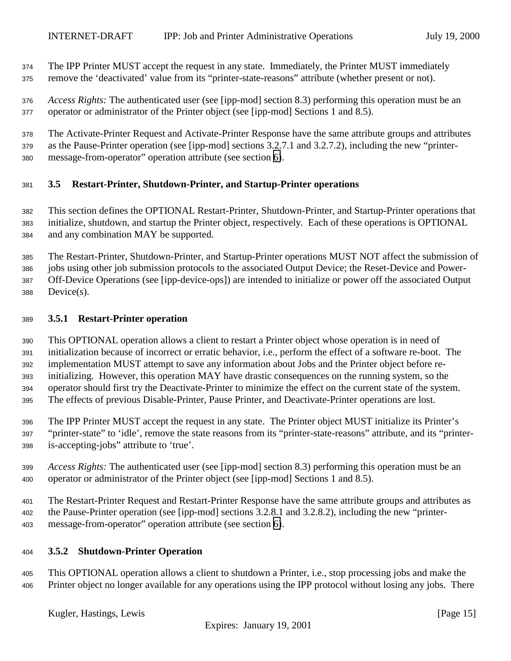<span id="page-14-0"></span> The IPP Printer MUST accept the request in any state. Immediately, the Printer MUST immediately remove the 'deactivated' value from its "printer-state-reasons" attribute (whether present or not).

 *Access Rights:* The authenticated user (see [ipp-mod] section 8.3) performing this operation must be an operator or administrator of the Printer object (see [ipp-mod] Sections 1 and 8.5).

 The Activate-Printer Request and Activate-Printer Response have the same attribute groups and attributes as the Pause-Printer operation (see [ipp-mod] sections 3.2.7.1 and 3.2.7.2), including the new "printer-message-from-operator" operation attribute (see section [6\)](#page-21-0).

## **3.5 Restart-Printer, Shutdown-Printer, and Startup-Printer operations**

 This section defines the OPTIONAL Restart-Printer, Shutdown-Printer, and Startup-Printer operations that initialize, shutdown, and startup the Printer object, respectively. Each of these operations is OPTIONAL and any combination MAY be supported.

 The Restart-Printer, Shutdown-Printer, and Startup-Printer operations MUST NOT affect the submission of jobs using other job submission protocols to the associated Output Device; the Reset-Device and Power- Off-Device Operations (see [ipp-device-ops]) are intended to initialize or power off the associated Output Device(s).

## **3.5.1 Restart-Printer operation**

 This OPTIONAL operation allows a client to restart a Printer object whose operation is in need of initialization because of incorrect or erratic behavior, i.e., perform the effect of a software re-boot. The implementation MUST attempt to save any information about Jobs and the Printer object before re- initializing. However, this operation MAY have drastic consequences on the running system, so the operator should first try the Deactivate-Printer to minimize the effect on the current state of the system. The effects of previous Disable-Printer, Pause Printer, and Deactivate-Printer operations are lost.

 The IPP Printer MUST accept the request in any state. The Printer object MUST initialize its Printer's "printer-state" to 'idle', remove the state reasons from its "printer-state-reasons" attribute, and its "printer-is-accepting-jobs" attribute to 'true'.

 *Access Rights:* The authenticated user (see [ipp-mod] section 8.3) performing this operation must be an operator or administrator of the Printer object (see [ipp-mod] Sections 1 and 8.5).

 The Restart-Printer Request and Restart-Printer Response have the same attribute groups and attributes as the Pause-Printer operation (see [ipp-mod] sections 3.2.8.1 and 3.2.8.2), including the new "printer-message-from-operator" operation attribute (see section [6\)](#page-21-0).

## **3.5.2 Shutdown-Printer Operation**

 This OPTIONAL operation allows a client to shutdown a Printer, i.e., stop processing jobs and make the Printer object no longer available for any operations using the IPP protocol without losing any jobs. There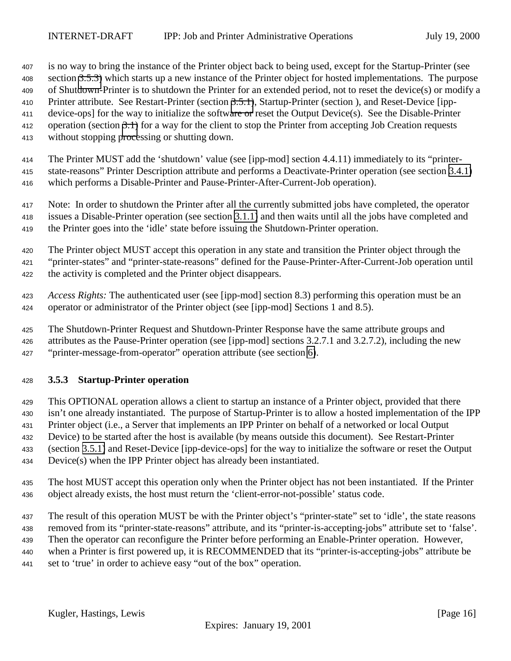<span id="page-15-0"></span> is no way to bring the instance of the Printer object back to being used, except for the Startup-Printer (see section 3.5.3) which starts up a new instance of the Printer object for hosted implementations. The purpose of Shutdown-Printer is to shutdown the Printer for an extended period, not to reset the device(s) or modify a Printer attribute. See Restart-Printer (section [3.5.1\)](#page-14-0), Startup-Printer (section ), and Reset-Device [ipp- device-ops] for the way to initialize the software or reset the Output Device(s). See the Disable-Printer operation (section [3.1\)](#page-9-0) for a way for the client to stop the Printer from accepting Job Creation requests without stopping processing or shutting down.

 The Printer MUST add the 'shutdown' value (see [ipp-mod] section 4.4.11) immediately to its "printer- state-reasons" Printer Description attribute and performs a Deactivate-Printer operation (see section [3.4.1\)](#page-13-0) which performs a Disable-Printer and Pause-Printer-After-Current-Job operation).

 Note: In order to shutdown the Printer after all the currently submitted jobs have completed, the operator issues a Disable-Printer operation (see section [3.1.1\)](#page-9-0) and then waits until all the jobs have completed and the Printer goes into the 'idle' state before issuing the Shutdown-Printer operation.

 The Printer object MUST accept this operation in any state and transition the Printer object through the "printer-states" and "printer-state-reasons" defined for the Pause-Printer-After-Current-Job operation until the activity is completed and the Printer object disappears.

 *Access Rights:* The authenticated user (see [ipp-mod] section 8.3) performing this operation must be an operator or administrator of the Printer object (see [ipp-mod] Sections 1 and 8.5).

The Shutdown-Printer Request and Shutdown-Printer Response have the same attribute groups and

attributes as the Pause-Printer operation (see [ipp-mod] sections 3.2.7.1 and 3.2.7.2), including the new

"printer-message-from-operator" operation attribute (see section [6\)](#page-21-0).

## **3.5.3 Startup-Printer operation**

 This OPTIONAL operation allows a client to startup an instance of a Printer object, provided that there isn't one already instantiated. The purpose of Startup-Printer is to allow a hosted implementation of the IPP Printer object (i.e., a Server that implements an IPP Printer on behalf of a networked or local Output Device) to be started after the host is available (by means outside this document). See Restart-Printer (section [3.5.1\)](#page-14-0) and Reset-Device [ipp-device-ops] for the way to initialize the software or reset the Output

Device(s) when the IPP Printer object has already been instantiated.

 The host MUST accept this operation only when the Printer object has not been instantiated. If the Printer object already exists, the host must return the 'client-error-not-possible' status code.

437 The result of this operation MUST be with the Printer object's "printer-state" set to 'idle', the state reasons

removed from its "printer-state-reasons" attribute, and its "printer-is-accepting-jobs" attribute set to 'false'.

Then the operator can reconfigure the Printer before performing an Enable-Printer operation. However,

when a Printer is first powered up, it is RECOMMENDED that its "printer-is-accepting-jobs" attribute be

set to 'true' in order to achieve easy "out of the box" operation.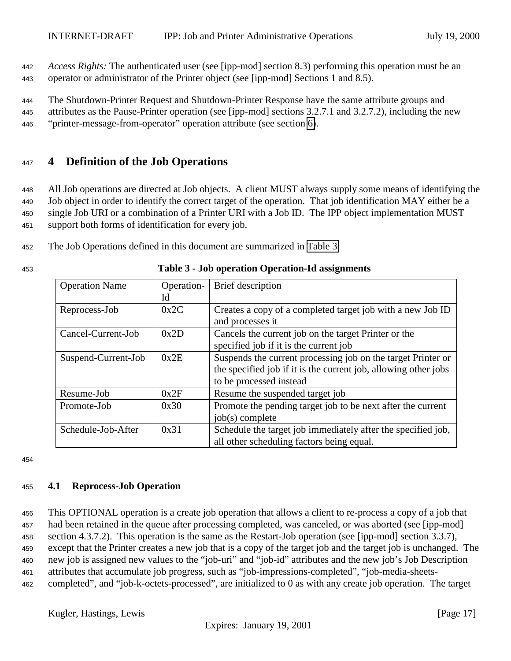<span id="page-16-0"></span><sup>442</sup> *Access Rights:* The authenticated user (see [ipp-mod] section 8.3) performing this operation must be an <sup>443</sup> operator or administrator of the Printer object (see [ipp-mod] Sections 1 and 8.5).

<sup>444</sup> The Shutdown-Printer Request and Shutdown-Printer Response have the same attribute groups and <sup>445</sup> attributes as the Pause-Printer operation (see [ipp-mod] sections 3.2.7.1 and 3.2.7.2), including the new <sup>446</sup> "printer-message-from-operator" operation attribute (see section [6\)](#page-21-0).

## <sup>447</sup> **4 Definition of the Job Operations**

 All Job operations are directed at Job objects. A client MUST always supply some means of identifying the Job object in order to identify the correct target of the operation. That job identification MAY either be a single Job URI or a combination of a Printer URI with a Job ID. The IPP object implementation MUST support both forms of identification for every job.

<sup>452</sup> The Job Operations defined in this document are summarized in Table 3:

| <b>Operation Name</b> | Operation- | Brief description                                               |
|-----------------------|------------|-----------------------------------------------------------------|
|                       | Id         |                                                                 |
| Reprocess-Job         | 0x2C       | Creates a copy of a completed target job with a new Job ID      |
|                       |            | and processes it                                                |
| Cancel-Current-Job    | 0x2D       | Cancels the current job on the target Printer or the            |
|                       |            | specified job if it is the current job                          |
| Suspend-Current-Job   | 0x2E       | Suspends the current processing job on the target Printer or    |
|                       |            | the specified job if it is the current job, allowing other jobs |
|                       |            | to be processed instead                                         |
| Resume-Job            | 0x2F       | Resume the suspended target job                                 |
| Promote-Job           | 0x30       | Promote the pending target job to be next after the current     |
|                       |            | $job(s)$ complete                                               |
| Schedule-Job-After    | 0x31       | Schedule the target job immediately after the specified job,    |
|                       |            | all other scheduling factors being equal.                       |

## <sup>453</sup> **Table 3 - Job operation Operation-Id assignments**

454

## <sup>455</sup> **4.1 Reprocess-Job Operation**

 This OPTIONAL operation is a create job operation that allows a client to re-process a copy of a job that had been retained in the queue after processing completed, was canceled, or was aborted (see [ipp-mod] section 4.3.7.2). This operation is the same as the Restart-Job operation (see [ipp-mod] section 3.3.7), except that the Printer creates a new job that is a copy of the target job and the target job is unchanged. The new job is assigned new values to the "job-uri" and "job-id" attributes and the new job's Job Description attributes that accumulate job progress, such as "job-impressions-completed", "job-media-sheets-completed", and "job-k-octets-processed", are initialized to 0 as with any create job operation. The target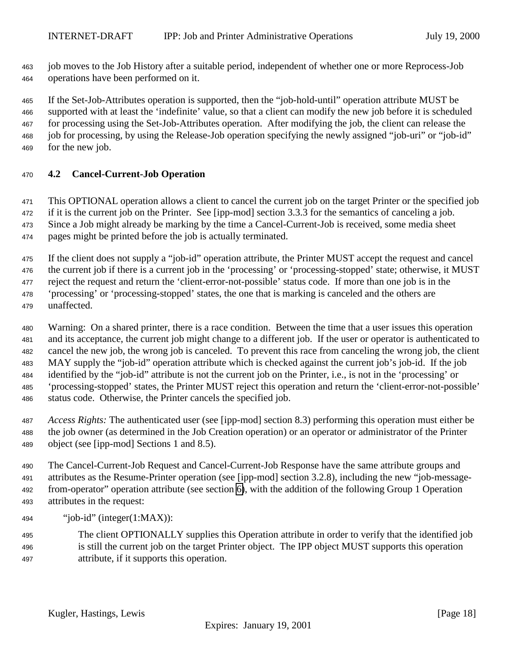<span id="page-17-0"></span> job moves to the Job History after a suitable period, independent of whether one or more Reprocess-Job operations have been performed on it.

 If the Set-Job-Attributes operation is supported, then the "job-hold-until" operation attribute MUST be supported with at least the 'indefinite' value, so that a client can modify the new job before it is scheduled for processing using the Set-Job-Attributes operation. After modifying the job, the client can release the job for processing, by using the Release-Job operation specifying the newly assigned "job-uri" or "job-id" for the new job.

## **4.2 Cancel-Current-Job Operation**

 This OPTIONAL operation allows a client to cancel the current job on the target Printer or the specified job if it is the current job on the Printer. See [ipp-mod] section 3.3.3 for the semantics of canceling a job. Since a Job might already be marking by the time a Cancel-Current-Job is received, some media sheet pages might be printed before the job is actually terminated.

 If the client does not supply a "job-id" operation attribute, the Printer MUST accept the request and cancel the current job if there is a current job in the 'processing' or 'processing-stopped' state; otherwise, it MUST reject the request and return the 'client-error-not-possible' status code. If more than one job is in the 'processing' or 'processing-stopped' states, the one that is marking is canceled and the others are unaffected.

 Warning: On a shared printer, there is a race condition. Between the time that a user issues this operation and its acceptance, the current job might change to a different job. If the user or operator is authenticated to cancel the new job, the wrong job is canceled. To prevent this race from canceling the wrong job, the client MAY supply the "job-id" operation attribute which is checked against the current job's job-id. If the job identified by the "job-id" attribute is not the current job on the Printer, i.e., is not in the 'processing' or 'processing-stopped' states, the Printer MUST reject this operation and return the 'client-error-not-possible' status code. Otherwise, the Printer cancels the specified job.

 *Access Rights:* The authenticated user (see [ipp-mod] section 8.3) performing this operation must either be the job owner (as determined in the Job Creation operation) or an operator or administrator of the Printer object (see [ipp-mod] Sections 1 and 8.5).

 The Cancel-Current-Job Request and Cancel-Current-Job Response have the same attribute groups and attributes as the Resume-Printer operation (see [ipp-mod] section 3.2.8), including the new "job-message- from-operator" operation attribute (see section [6\)](#page-21-0), with the addition of the following Group 1 Operation attributes in the request:

494 "iob-id" (integer $(1:MAX)$ ):

 The client OPTIONALLY supplies this Operation attribute in order to verify that the identified job is still the current job on the target Printer object. The IPP object MUST supports this operation attribute, if it supports this operation.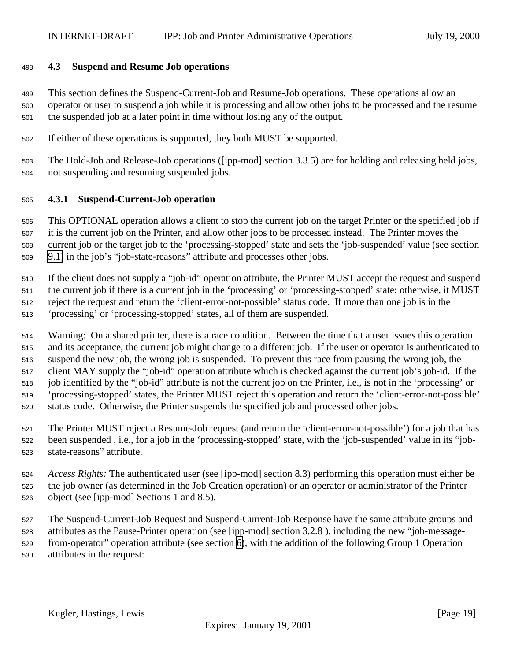#### <span id="page-18-0"></span>**4.3 Suspend and Resume Job operations**

 This section defines the Suspend-Current-Job and Resume-Job operations. These operations allow an operator or user to suspend a job while it is processing and allow other jobs to be processed and the resume the suspended job at a later point in time without losing any of the output.

If either of these operations is supported, they both MUST be supported.

 The Hold-Job and Release-Job operations ([ipp-mod] section 3.3.5) are for holding and releasing held jobs, not suspending and resuming suspended jobs.

#### **4.3.1 Suspend-Current-Job operation**

 This OPTIONAL operation allows a client to stop the current job on the target Printer or the specified job if it is the current job on the Printer, and allow other jobs to be processed instead. The Printer moves the current job or the target job to the 'processing-stopped' state and sets the 'job-suspended' value (see section [9.1\)](#page-24-0) in the job's "job-state-reasons" attribute and processes other jobs.

 If the client does not supply a "job-id" operation attribute, the Printer MUST accept the request and suspend the current job if there is a current job in the 'processing' or 'processing-stopped' state; otherwise, it MUST reject the request and return the 'client-error-not-possible' status code. If more than one job is in the 'processing' or 'processing-stopped' states, all of them are suspended.

 Warning: On a shared printer, there is a race condition. Between the time that a user issues this operation and its acceptance, the current job might change to a different job. If the user or operator is authenticated to suspend the new job, the wrong job is suspended. To prevent this race from pausing the wrong job, the client MAY supply the "job-id" operation attribute which is checked against the current job's job-id. If the job identified by the "job-id" attribute is not the current job on the Printer, i.e., is not in the 'processing' or 'processing-stopped' states, the Printer MUST reject this operation and return the 'client-error-not-possible' status code. Otherwise, the Printer suspends the specified job and processed other jobs.

 The Printer MUST reject a Resume-Job request (and return the 'client-error-not-possible') for a job that has been suspended , i.e., for a job in the 'processing-stopped' state, with the 'job-suspended' value in its "job-state-reasons" attribute.

 *Access Rights:* The authenticated user (see [ipp-mod] section 8.3) performing this operation must either be the job owner (as determined in the Job Creation operation) or an operator or administrator of the Printer object (see [ipp-mod] Sections 1 and 8.5).

 The Suspend-Current-Job Request and Suspend-Current-Job Response have the same attribute groups and attributes as the Pause-Printer operation (see [ipp-mod] section 3.2.8 ), including the new "job-message- from-operator" operation attribute (see section [6\)](#page-21-0), with the addition of the following Group 1 Operation attributes in the request: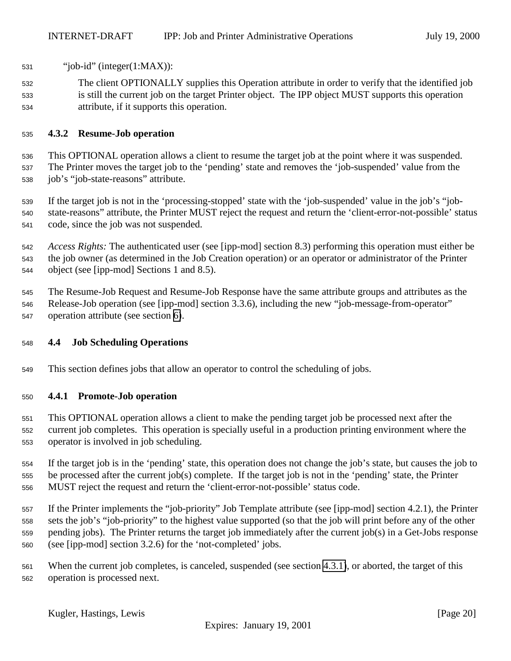- <span id="page-19-0"></span>"job-id" (integer(1:MAX)):
- The client OPTIONALLY supplies this Operation attribute in order to verify that the identified job is still the current job on the target Printer object. The IPP object MUST supports this operation attribute, if it supports this operation.

## **4.3.2 Resume-Job operation**

 This OPTIONAL operation allows a client to resume the target job at the point where it was suspended. The Printer moves the target job to the 'pending' state and removes the 'job-suspended' value from the job's "job-state-reasons" attribute.

 If the target job is not in the 'processing-stopped' state with the 'job-suspended' value in the job's "job- state-reasons" attribute, the Printer MUST reject the request and return the 'client-error-not-possible' status code, since the job was not suspended.

 *Access Rights:* The authenticated user (see [ipp-mod] section 8.3) performing this operation must either be the job owner (as determined in the Job Creation operation) or an operator or administrator of the Printer object (see [ipp-mod] Sections 1 and 8.5).

 The Resume-Job Request and Resume-Job Response have the same attribute groups and attributes as the Release-Job operation (see [ipp-mod] section 3.3.6), including the new "job-message-from-operator" operation attribute (see section [6\)](#page-21-0).

## **4.4 Job Scheduling Operations**

This section defines jobs that allow an operator to control the scheduling of jobs.

## **4.4.1 Promote-Job operation**

 This OPTIONAL operation allows a client to make the pending target job be processed next after the current job completes. This operation is specially useful in a production printing environment where the operator is involved in job scheduling.

 If the target job is in the 'pending' state, this operation does not change the job's state, but causes the job to be processed after the current job(s) complete. If the target job is not in the 'pending' state, the Printer MUST reject the request and return the 'client-error-not-possible' status code.

 If the Printer implements the "job-priority" Job Template attribute (see [ipp-mod] section 4.2.1), the Printer sets the job's "job-priority" to the highest value supported (so that the job will print before any of the other pending jobs). The Printer returns the target job immediately after the current job(s) in a Get-Jobs response (see [ipp-mod] section 3.2.6) for the 'not-completed' jobs.

 When the current job completes, is canceled, suspended (see section [4.3.1\)](#page-18-0), or aborted, the target of this operation is processed next.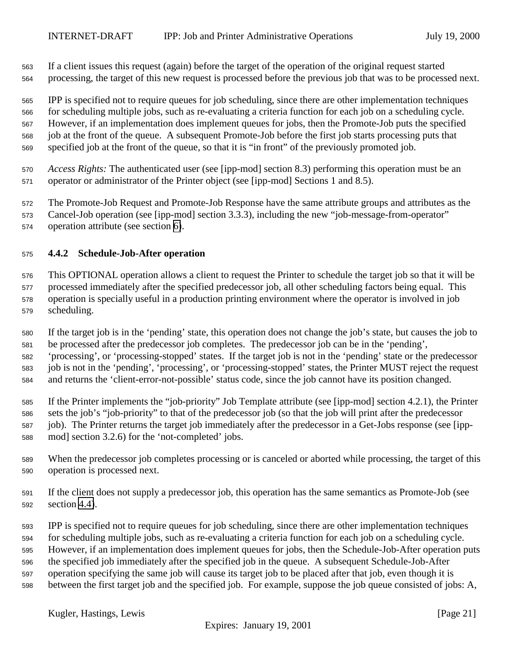<span id="page-20-0"></span> If a client issues this request (again) before the target of the operation of the original request started processing, the target of this new request is processed before the previous job that was to be processed next.

 IPP is specified not to require queues for job scheduling, since there are other implementation techniques for scheduling multiple jobs, such as re-evaluating a criteria function for each job on a scheduling cycle. However, if an implementation does implement queues for jobs, then the Promote-Job puts the specified job at the front of the queue. A subsequent Promote-Job before the first job starts processing puts that specified job at the front of the queue, so that it is "in front" of the previously promoted job.

 *Access Rights:* The authenticated user (see [ipp-mod] section 8.3) performing this operation must be an operator or administrator of the Printer object (see [ipp-mod] Sections 1 and 8.5).

The Promote-Job Request and Promote-Job Response have the same attribute groups and attributes as the

 Cancel-Job operation (see [ipp-mod] section 3.3.3), including the new "job-message-from-operator" operation attribute (see section [6\)](#page-21-0).

## **4.4.2 Schedule-Job-After operation**

 This OPTIONAL operation allows a client to request the Printer to schedule the target job so that it will be processed immediately after the specified predecessor job, all other scheduling factors being equal. This operation is specially useful in a production printing environment where the operator is involved in job scheduling.

 If the target job is in the 'pending' state, this operation does not change the job's state, but causes the job to be processed after the predecessor job completes. The predecessor job can be in the 'pending', 'processing', or 'processing-stopped' states. If the target job is not in the 'pending' state or the predecessor job is not in the 'pending', 'processing', or 'processing-stopped' states, the Printer MUST reject the request and returns the 'client-error-not-possible' status code, since the job cannot have its position changed.

 If the Printer implements the "job-priority" Job Template attribute (see [ipp-mod] section 4.2.1), the Printer sets the job's "job-priority" to that of the predecessor job (so that the job will print after the predecessor job). The Printer returns the target job immediately after the predecessor in a Get-Jobs response (see [ipp-mod] section 3.2.6) for the 'not-completed' jobs.

- When the predecessor job completes processing or is canceled or aborted while processing, the target of this operation is processed next.
- If the client does not supply a predecessor job, this operation has the same semantics as Promote-Job (see section [4.4\)](#page-19-0).
- IPP is specified not to require queues for job scheduling, since there are other implementation techniques
- for scheduling multiple jobs, such as re-evaluating a criteria function for each job on a scheduling cycle.
- However, if an implementation does implement queues for jobs, then the Schedule-Job-After operation puts
- the specified job immediately after the specified job in the queue. A subsequent Schedule-Job-After
- operation specifying the same job will cause its target job to be placed after that job, even though it is
- between the first target job and the specified job. For example, suppose the job queue consisted of jobs: A,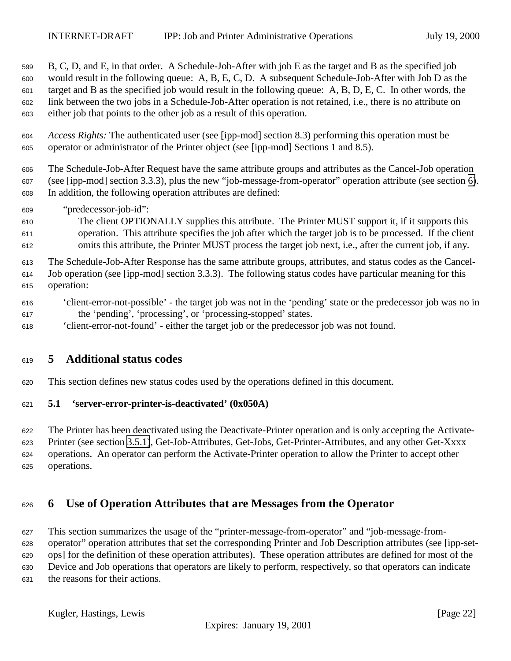<span id="page-21-0"></span> B, C, D, and E, in that order. A Schedule-Job-After with job E as the target and B as the specified job would result in the following queue: A, B, E, C, D. A subsequent Schedule-Job-After with Job D as the target and B as the specified job would result in the following queue: A, B, D, E, C. In other words, the link between the two jobs in a Schedule-Job-After operation is not retained, i.e., there is no attribute on either job that points to the other job as a result of this operation.

 *Access Rights:* The authenticated user (see [ipp-mod] section 8.3) performing this operation must be operator or administrator of the Printer object (see [ipp-mod] Sections 1 and 8.5).

 The Schedule-Job-After Request have the same attribute groups and attributes as the Cancel-Job operation (see [ipp-mod] section 3.3.3), plus the new "job-message-from-operator" operation attribute (see section 6). In addition, the following operation attributes are defined:

- "predecessor-job-id":
- The client OPTIONALLY supplies this attribute. The Printer MUST support it, if it supports this operation. This attribute specifies the job after which the target job is to be processed. If the client omits this attribute, the Printer MUST process the target job next, i.e., after the current job, if any.

 The Schedule-Job-After Response has the same attribute groups, attributes, and status codes as the Cancel- Job operation (see [ipp-mod] section 3.3.3). The following status codes have particular meaning for this operation:

- 'client-error-not-possible' the target job was not in the 'pending' state or the predecessor job was no in the 'pending', 'processing', or 'processing-stopped' states.
- 'client-error-not-found' either the target job or the predecessor job was not found.

## **5 Additional status codes**

This section defines new status codes used by the operations defined in this document.

## **5.1 'server-error-printer-is-deactivated' (0x050A)**

 The Printer has been deactivated using the Deactivate-Printer operation and is only accepting the Activate- Printer (see section [3.5.1\)](#page-14-0), Get-Job-Attributes, Get-Jobs, Get-Printer-Attributes, and any other Get-Xxxx operations. An operator can perform the Activate-Printer operation to allow the Printer to accept other operations.

## **6 Use of Operation Attributes that are Messages from the Operator**

 This section summarizes the usage of the "printer-message-from-operator" and "job-message-from- operator" operation attributes that set the corresponding Printer and Job Description attributes (see [ipp-set- ops] for the definition of these operation attributes). These operation attributes are defined for most of the Device and Job operations that operators are likely to perform, respectively, so that operators can indicate the reasons for their actions.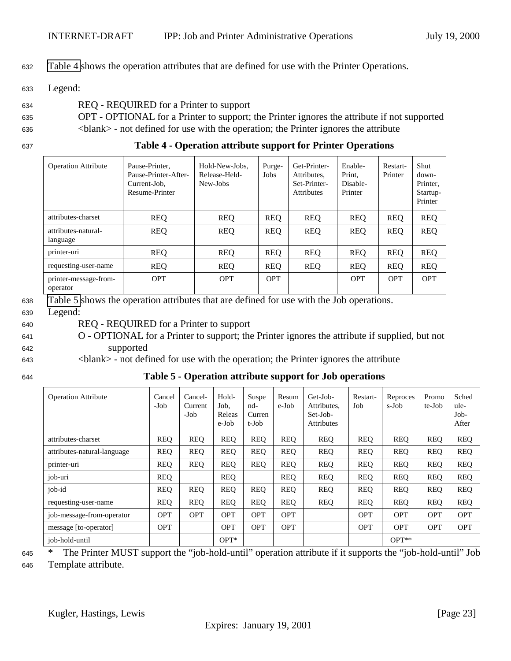<span id="page-22-0"></span><sup>632</sup> Table 4 shows the operation attributes that are defined for use with the Printer Operations.

<sup>633</sup> Legend:

- <sup>634</sup> REQ REQUIRED for a Printer to support
- <sup>635</sup> OPT OPTIONAL for a Printer to support; the Printer ignores the attribute if not supported <sup>636</sup> <blank> - not defined for use with the operation; the Printer ignores the attribute
- 

<sup>637</sup> **Table 4 - Operation attribute support for Printer Operations**

| <b>Operation Attribute</b>        | Pause-Printer,<br>Pause-Printer-After-<br>Current-Job.<br>Resume-Printer | Hold-New-Jobs.<br>Release-Held-<br>New-Jobs | Purge-<br>Jobs | Get-Printer-<br>Attributes.<br>Set-Printer-<br><b>Attributes</b> | Enable-<br>Print.<br>Disable-<br>Printer | Restart-<br>Printer | Shut<br>down-<br>Printer.<br>Startup-<br>Printer |
|-----------------------------------|--------------------------------------------------------------------------|---------------------------------------------|----------------|------------------------------------------------------------------|------------------------------------------|---------------------|--------------------------------------------------|
| attributes-charset                | <b>REQ</b>                                                               | <b>REQ</b>                                  | <b>REQ</b>     | <b>REQ</b>                                                       | <b>REO</b>                               | <b>REQ</b>          | <b>REQ</b>                                       |
| attributes-natural-<br>language   | <b>REQ</b>                                                               | <b>REQ</b>                                  | <b>REQ</b>     | <b>REQ</b>                                                       | <b>REQ</b>                               | <b>REQ</b>          | <b>REQ</b>                                       |
| printer-uri                       | <b>REQ</b>                                                               | <b>REQ</b>                                  | <b>REQ</b>     | <b>REQ</b>                                                       | <b>REQ</b>                               | <b>REQ</b>          | <b>REQ</b>                                       |
| requesting-user-name              | <b>REQ</b>                                                               | <b>REQ</b>                                  | <b>REQ</b>     | <b>REQ</b>                                                       | <b>REQ</b>                               | <b>REQ</b>          | <b>REQ</b>                                       |
| printer-message-from-<br>operator | <b>OPT</b>                                                               | <b>OPT</b>                                  | <b>OPT</b>     |                                                                  | <b>OPT</b>                               | <b>OPT</b>          | <b>OPT</b>                                       |

<sup>638</sup> Table 5 shows the operation attributes that are defined for use with the Job operations.

<sup>639</sup> Legend:

<sup>640</sup> REQ - REQUIRED for a Printer to support

- <sup>641</sup> O OPTIONAL for a Printer to support; the Printer ignores the attribute if supplied, but not <sup>642</sup> supported
- <sup>643</sup> <blank> not defined for use with the operation; the Printer ignores the attribute
- 

<sup>644</sup> **Table 5 - Operation attribute support for Job operations**

| <b>Operation Attribute</b>  | Cancel<br>-Job | Cancel-<br>Current<br>-Job | Hold-<br>Job.<br>Releas<br>e-Job | Suspe<br>nd-<br>Curren<br>t-Job | Resum<br>e-Job | Get-Job-<br>Attributes,<br>Set-Job-<br><b>Attributes</b> | Restart-<br>Job | Reproces<br>s-Job | Promo<br>te-Job | Sched<br>ule-<br>$Job-$<br>After |
|-----------------------------|----------------|----------------------------|----------------------------------|---------------------------------|----------------|----------------------------------------------------------|-----------------|-------------------|-----------------|----------------------------------|
| attributes-charset          | <b>REO</b>     | <b>REO</b>                 | <b>REO</b>                       | <b>REO</b>                      | <b>REO</b>     | <b>REO</b>                                               | <b>REO</b>      | <b>REO</b>        | <b>REO</b>      | <b>REO</b>                       |
| attributes-natural-language | <b>REQ</b>     | <b>REO</b>                 | <b>REO</b>                       | <b>REQ</b>                      | <b>REQ</b>     | <b>REO</b>                                               | <b>REO</b>      | <b>REO</b>        | <b>REQ</b>      | <b>REQ</b>                       |
| printer-uri                 | <b>REQ</b>     | <b>REO</b>                 | REQ                              | <b>REO</b>                      | <b>REO</b>     | <b>REO</b>                                               | <b>REQ</b>      | <b>REO</b>        | <b>REO</b>      | <b>REQ</b>                       |
| job-uri                     | <b>REO</b>     |                            | <b>REO</b>                       |                                 | <b>REO</b>     | <b>REO</b>                                               | <b>REO</b>      | <b>REO</b>        | <b>REO</b>      | <b>REQ</b>                       |
| job-id                      | <b>REQ</b>     | <b>REO</b>                 | REQ                              | <b>REQ</b>                      | <b>REO</b>     | <b>REO</b>                                               | <b>REO</b>      | <b>REO</b>        | <b>REQ</b>      | <b>REQ</b>                       |
| requesting-user-name        | <b>REQ</b>     | <b>REO</b>                 | <b>REO</b>                       | <b>REO</b>                      | <b>REO</b>     | <b>REO</b>                                               | <b>REO</b>      | <b>REO</b>        | <b>REO</b>      | <b>REQ</b>                       |
| job-message-from-operator   | <b>OPT</b>     | <b>OPT</b>                 | <b>OPT</b>                       | <b>OPT</b>                      | <b>OPT</b>     |                                                          | <b>OPT</b>      | <b>OPT</b>        | <b>OPT</b>      | <b>OPT</b>                       |
| message [to-operator]       | <b>OPT</b>     |                            | <b>OPT</b>                       | <b>OPT</b>                      | <b>OPT</b>     |                                                          | <b>OPT</b>      | <b>OPT</b>        | <b>OPT</b>      | <b>OPT</b>                       |
| job-hold-until              |                |                            | $OPT^*$                          |                                 |                |                                                          |                 | $OPT**$           |                 |                                  |

<sup>645</sup> \* The Printer MUST support the "job-hold-until" operation attribute if it supports the "job-hold-until" Job

<sup>646</sup> Template attribute.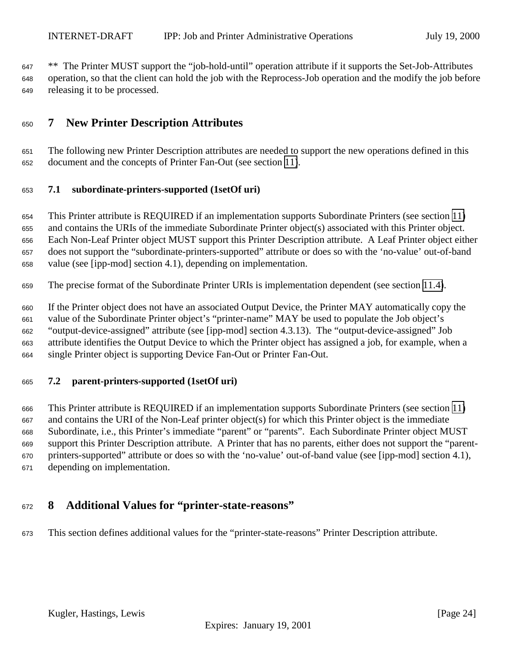<span id="page-23-0"></span> \*\* The Printer MUST support the "job-hold-until" operation attribute if it supports the Set-Job-Attributes operation, so that the client can hold the job with the Reprocess-Job operation and the modify the job before releasing it to be processed.

## **7 New Printer Description Attributes**

 The following new Printer Description attributes are needed to support the new operations defined in this document and the concepts of Printer Fan-Out (see section [11\)](#page-24-0).

## **7.1 subordinate-printers-supported (1setOf uri)**

 This Printer attribute is REQUIRED if an implementation supports Subordinate Printers (see section [11\)](#page-25-0) and contains the URIs of the immediate Subordinate Printer object(s) associated with this Printer object. Each Non-Leaf Printer object MUST support this Printer Description attribute. A Leaf Printer object either does not support the "subordinate-printers-supported" attribute or does so with the 'no-value' out-of-band value (see [ipp-mod] section 4.1), depending on implementation.

The precise format of the Subordinate Printer URIs is implementation dependent (see section [11.4\)](#page-26-0).

 If the Printer object does not have an associated Output Device, the Printer MAY automatically copy the value of the Subordinate Printer object's "printer-name" MAY be used to populate the Job object's "output-device-assigned" attribute (see [ipp-mod] section 4.3.13). The "output-device-assigned" Job attribute identifies the Output Device to which the Printer object has assigned a job, for example, when a single Printer object is supporting Device Fan-Out or Printer Fan-Out.

## **7.2 parent-printers-supported (1setOf uri)**

 This Printer attribute is REQUIRED if an implementation supports Subordinate Printers (see section [11\)](#page-25-0) and contains the URI of the Non-Leaf printer object(s) for which this Printer object is the immediate Subordinate, i.e., this Printer's immediate "parent" or "parents". Each Subordinate Printer object MUST support this Printer Description attribute. A Printer that has no parents, either does not support the "parent- printers-supported" attribute or does so with the 'no-value' out-of-band value (see [ipp-mod] section 4.1), depending on implementation.

## **8 Additional Values for "printer-state-reasons"**

This section defines additional values for the "printer-state-reasons" Printer Description attribute.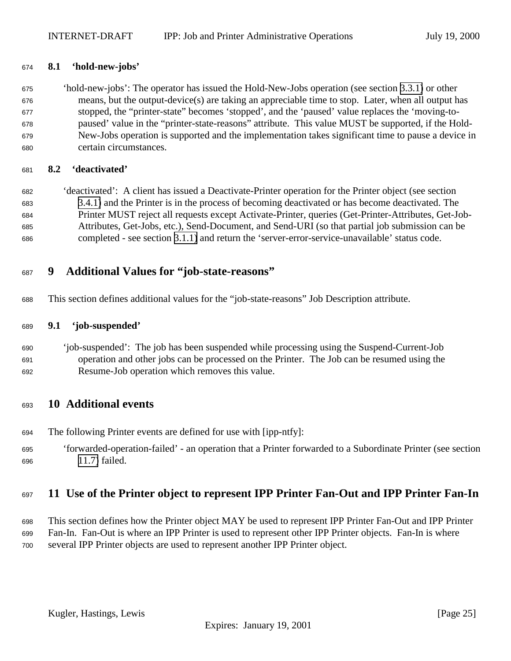## <span id="page-24-0"></span>**8.1 'hold-new-jobs'**

 'hold-new-jobs': The operator has issued the Hold-New-Jobs operation (see section [3.3.1\)](#page-12-0) or other means, but the output-device(s) are taking an appreciable time to stop. Later, when all output has stopped, the "printer-state" becomes 'stopped', and the 'paused' value replaces the 'moving-to- paused' value in the "printer-state-reasons" attribute. This value MUST be supported, if the Hold- New-Jobs operation is supported and the implementation takes significant time to pause a device in certain circumstances.

## **8.2 'deactivated'**

 'deactivated': A client has issued a Deactivate-Printer operation for the Printer object (see section [3.4.1\)](#page-13-0) and the Printer is in the process of becoming deactivated or has become deactivated. The Printer MUST reject all requests except Activate-Printer, queries (Get-Printer-Attributes, Get-Job- Attributes, Get-Jobs, etc.), Send-Document, and Send-URI (so that partial job submission can be completed - see section [3.1.1\)](#page-9-0) and return the 'server-error-service-unavailable' status code.

## **9 Additional Values for "job-state-reasons"**

This section defines additional values for the "job-state-reasons" Job Description attribute.

## **9.1 'job-suspended'**

 'job-suspended': The job has been suspended while processing using the Suspend-Current-Job operation and other jobs can be processed on the Printer. The Job can be resumed using the Resume-Job operation which removes this value.

## **10 Additional events**

- The following Printer events are defined for use with [ipp-ntfy]:
- 'forwarded-operation-failed' an operation that a Printer forwarded to a Subordinate Printer (see section [11.7\)](#page-30-0) failed.

## **11 Use of the Printer object to represent IPP Printer Fan-Out and IPP Printer Fan-In**

- This section defines how the Printer object MAY be used to represent IPP Printer Fan-Out and IPP Printer
- Fan-In. Fan-Out is where an IPP Printer is used to represent other IPP Printer objects. Fan-In is where
- several IPP Printer objects are used to represent another IPP Printer object.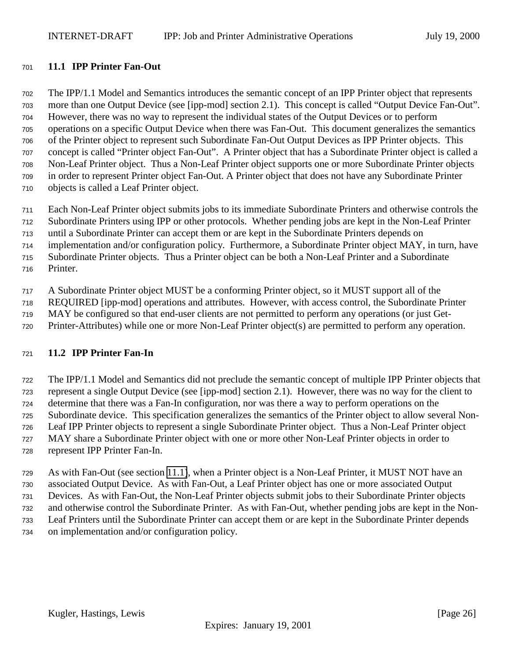## <span id="page-25-0"></span>**11.1 IPP Printer Fan-Out**

 The IPP/1.1 Model and Semantics introduces the semantic concept of an IPP Printer object that represents more than one Output Device (see [ipp-mod] section 2.1). This concept is called "Output Device Fan-Out". However, there was no way to represent the individual states of the Output Devices or to perform operations on a specific Output Device when there was Fan-Out. This document generalizes the semantics of the Printer object to represent such Subordinate Fan-Out Output Devices as IPP Printer objects. This concept is called "Printer object Fan-Out". A Printer object that has a Subordinate Printer object is called a Non-Leaf Printer object. Thus a Non-Leaf Printer object supports one or more Subordinate Printer objects in order to represent Printer object Fan-Out. A Printer object that does not have any Subordinate Printer objects is called a Leaf Printer object.

 Each Non-Leaf Printer object submits jobs to its immediate Subordinate Printers and otherwise controls the Subordinate Printers using IPP or other protocols. Whether pending jobs are kept in the Non-Leaf Printer

until a Subordinate Printer can accept them or are kept in the Subordinate Printers depends on

implementation and/or configuration policy. Furthermore, a Subordinate Printer object MAY, in turn, have

Subordinate Printer objects. Thus a Printer object can be both a Non-Leaf Printer and a Subordinate

Printer.

A Subordinate Printer object MUST be a conforming Printer object, so it MUST support all of the

REQUIRED [ipp-mod] operations and attributes. However, with access control, the Subordinate Printer

MAY be configured so that end-user clients are not permitted to perform any operations (or just Get-

Printer-Attributes) while one or more Non-Leaf Printer object(s) are permitted to perform any operation.

## **11.2 IPP Printer Fan-In**

 The IPP/1.1 Model and Semantics did not preclude the semantic concept of multiple IPP Printer objects that represent a single Output Device (see [ipp-mod] section 2.1). However, there was no way for the client to determine that there was a Fan-In configuration, nor was there a way to perform operations on the Subordinate device. This specification generalizes the semantics of the Printer object to allow several Non- Leaf IPP Printer objects to represent a single Subordinate Printer object. Thus a Non-Leaf Printer object MAY share a Subordinate Printer object with one or more other Non-Leaf Printer objects in order to represent IPP Printer Fan-In.

 As with Fan-Out (see section 11.1), when a Printer object is a Non-Leaf Printer, it MUST NOT have an associated Output Device. As with Fan-Out, a Leaf Printer object has one or more associated Output Devices. As with Fan-Out, the Non-Leaf Printer objects submit jobs to their Subordinate Printer objects and otherwise control the Subordinate Printer. As with Fan-Out, whether pending jobs are kept in the Non- Leaf Printers until the Subordinate Printer can accept them or are kept in the Subordinate Printer depends on implementation and/or configuration policy.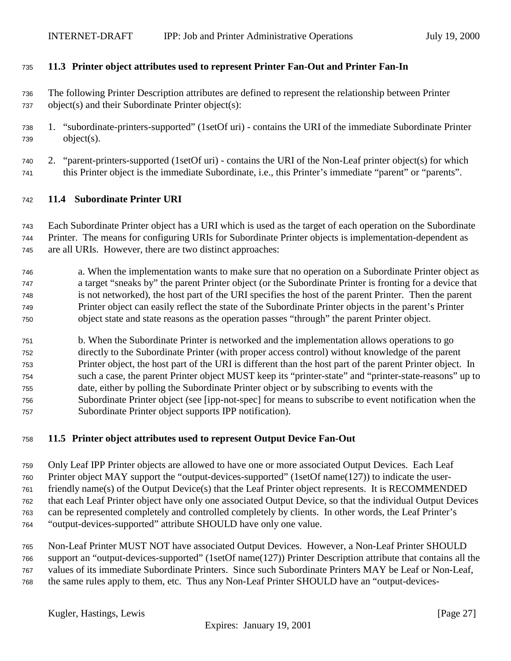#### <span id="page-26-0"></span>**11.3 Printer object attributes used to represent Printer Fan-Out and Printer Fan-In**

- The following Printer Description attributes are defined to represent the relationship between Printer object(s) and their Subordinate Printer object(s):
- 1. "subordinate-printers-supported" (1setOf uri) contains the URI of the immediate Subordinate Printer object(s).
- 2. "parent-printers-supported (1setOf uri) contains the URI of the Non-Leaf printer object(s) for which this Printer object is the immediate Subordinate, i.e., this Printer's immediate "parent" or "parents".

#### **11.4 Subordinate Printer URI**

 Each Subordinate Printer object has a URI which is used as the target of each operation on the Subordinate Printer. The means for configuring URIs for Subordinate Printer objects is implementation-dependent as are all URIs. However, there are two distinct approaches:

- a. When the implementation wants to make sure that no operation on a Subordinate Printer object as a target "sneaks by" the parent Printer object (or the Subordinate Printer is fronting for a device that is not networked), the host part of the URI specifies the host of the parent Printer. Then the parent Printer object can easily reflect the state of the Subordinate Printer objects in the parent's Printer object state and state reasons as the operation passes "through" the parent Printer object.
- b. When the Subordinate Printer is networked and the implementation allows operations to go directly to the Subordinate Printer (with proper access control) without knowledge of the parent Printer object, the host part of the URI is different than the host part of the parent Printer object. In such a case, the parent Printer object MUST keep its "printer-state" and "printer-state-reasons" up to date, either by polling the Subordinate Printer object or by subscribing to events with the Subordinate Printer object (see [ipp-not-spec] for means to subscribe to event notification when the Subordinate Printer object supports IPP notification).

## **11.5 Printer object attributes used to represent Output Device Fan-Out**

 Only Leaf IPP Printer objects are allowed to have one or more associated Output Devices. Each Leaf Printer object MAY support the "output-devices-supported" (1setOf name(127)) to indicate the user- friendly name(s) of the Output Device(s) that the Leaf Printer object represents. It is RECOMMENDED that each Leaf Printer object have only one associated Output Device, so that the individual Output Devices can be represented completely and controlled completely by clients. In other words, the Leaf Printer's "output-devices-supported" attribute SHOULD have only one value.

 Non-Leaf Printer MUST NOT have associated Output Devices. However, a Non-Leaf Printer SHOULD support an "output-devices-supported" (1setOf name(127)) Printer Description attribute that contains all the values of its immediate Subordinate Printers. Since such Subordinate Printers MAY be Leaf or Non-Leaf, the same rules apply to them, etc. Thus any Non-Leaf Printer SHOULD have an "output-devices-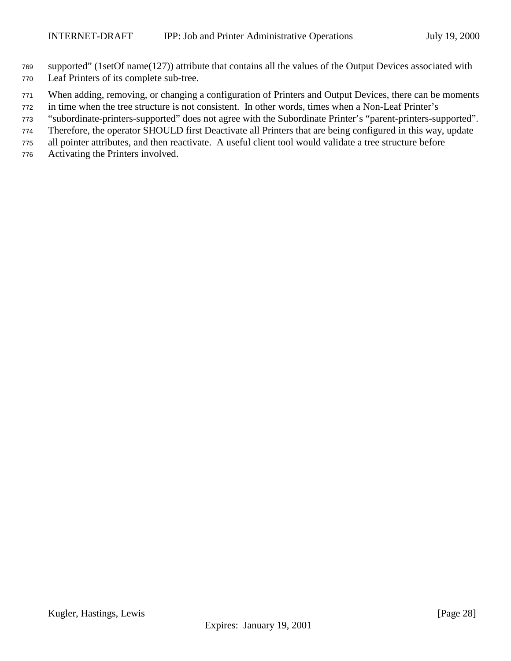- supported" (1setOf name(127)) attribute that contains all the values of the Output Devices associated with
- Leaf Printers of its complete sub-tree.
- When adding, removing, or changing a configuration of Printers and Output Devices, there can be moments
- in time when the tree structure is not consistent. In other words, times when a Non-Leaf Printer's
- "subordinate-printers-supported" does not agree with the Subordinate Printer's "parent-printers-supported".
- Therefore, the operator SHOULD first Deactivate all Printers that are being configured in this way, update
- all pointer attributes, and then reactivate. A useful client tool would validate a tree structure before
- Activating the Printers involved.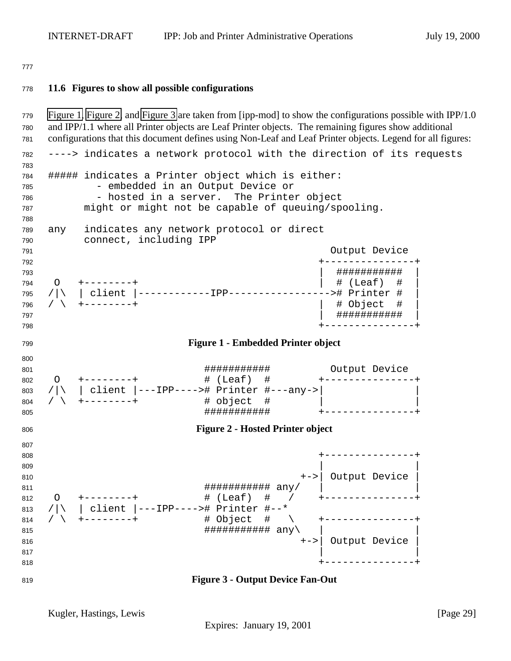<span id="page-28-0"></span>

## **11.6 Figures to show all possible configurations**

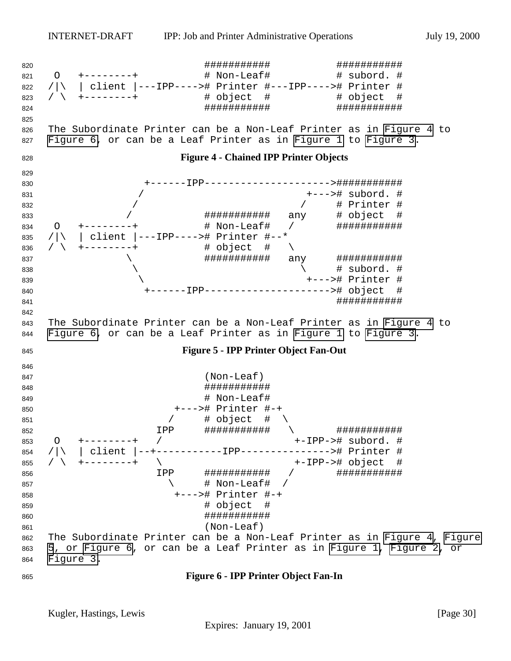<span id="page-29-0"></span> ########### ########### O +--------+ # Non-Leaf# # subord. # /|\ | client |---IPP----># Printer #---IPP----># Printer # / \ +--------+ # object # # object # ########### ########### The Subordinate Printer can be a Non-Leaf Printer as in Figure 4 to Figure 6, or can be a Leaf Printer as in [Figure 1](#page-28-0) to [Figure 3.](#page-28-0) **Figure 4 - Chained IPP Printer Objects** +------IPP--------------------->########### / +---># subord. # / / # Printer #  $\sqrt{ }$  ##############  $\frac{1}{4}$  any 834 O +--------+ # Non-Leaf# / ############# 835 /|\ | client |---IPP----># Printer #--\*<br>836 / \ +--------+ # object # \ / \ +--------+ # object # \ \ ########### any ###########  $\qquad \qquad \backslash$  \ +---># Printer # +------IPP---------------------># object # ########### The Subordinate Printer can be a Non-Leaf Printer as in Figure 4 to Figure 6, or can be a Leaf Printer as in [Figure 1](#page-28-0) to [Figure 3.](#page-28-0) **Figure 5 - IPP Printer Object Fan-Out** (Non-Leaf) ########### # Non-Leaf# +---># Printer #-+ 851 / # object #  $\setminus$  IPP ########### \ ########### O +--------+ / +-IPP-># subord. # /|\ | client |--+-----------IPP---------------># Printer # / \ +--------+ \ +-IPP-># object # IPP ########### / ###########  $\qquad \qquad \qquad +$  Non-Leaf# / +---># Printer #-+ # object # ########### (Non-Leaf) The Subordinate Printer can be a Non-Leaf Printer as in Figure 4, Figure 5, or Figure 6, or can be a Leaf Printer as in [Figure 1, Figure 2,](#page-28-0) or [Figure 3.](#page-28-0) **Figure 6 - IPP Printer Object Fan-In**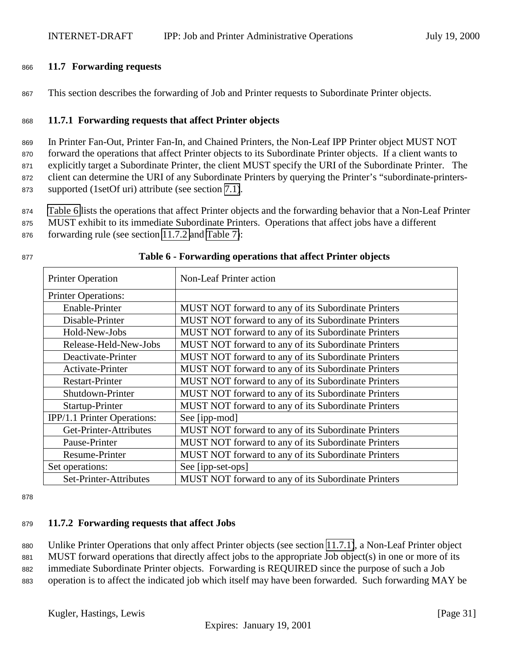#### <span id="page-30-0"></span><sup>866</sup> **11.7 Forwarding requests**

<sup>867</sup> This section describes the forwarding of Job and Printer requests to Subordinate Printer objects.

## <sup>868</sup> **11.7.1 Forwarding requests that affect Printer objects**

 In Printer Fan-Out, Printer Fan-In, and Chained Printers, the Non-Leaf IPP Printer object MUST NOT forward the operations that affect Printer objects to its Subordinate Printer objects. If a client wants to explicitly target a Subordinate Printer, the client MUST specify the URI of the Subordinate Printer. The client can determine the URI of any Subordinate Printers by querying the Printer's "subordinate-printers-supported (1setOf uri) attribute (see section [7.1\)](#page-23-0).

<sup>874</sup> Table 6 lists the operations that affect Printer objects and the forwarding behavior that a Non-Leaf Printer

<sup>875</sup> MUST exhibit to its immediate Subordinate Printers. Operations that affect jobs have a different

<sup>876</sup> forwarding rule (see section 11.7.2 and [Table 7\)](#page-31-0):

| <b>Printer Operation</b>    | <b>Non-Leaf Printer action</b>                      |
|-----------------------------|-----------------------------------------------------|
| <b>Printer Operations:</b>  |                                                     |
| Enable-Printer              | MUST NOT forward to any of its Subordinate Printers |
| Disable-Printer             | MUST NOT forward to any of its Subordinate Printers |
| Hold-New-Jobs               | MUST NOT forward to any of its Subordinate Printers |
| Release-Held-New-Jobs       | MUST NOT forward to any of its Subordinate Printers |
| Deactivate-Printer          | MUST NOT forward to any of its Subordinate Printers |
| Activate-Printer            | MUST NOT forward to any of its Subordinate Printers |
| <b>Restart-Printer</b>      | MUST NOT forward to any of its Subordinate Printers |
| Shutdown-Printer            | MUST NOT forward to any of its Subordinate Printers |
| Startup-Printer             | MUST NOT forward to any of its Subordinate Printers |
| IPP/1.1 Printer Operations: | See [ipp-mod]                                       |
| Get-Printer-Attributes      | MUST NOT forward to any of its Subordinate Printers |
| Pause-Printer               | MUST NOT forward to any of its Subordinate Printers |
| Resume-Printer              | MUST NOT forward to any of its Subordinate Printers |
| Set operations:             | See [ipp-set-ops]                                   |
| Set-Printer-Attributes      | MUST NOT forward to any of its Subordinate Printers |

#### <sup>877</sup> **Table 6 - Forwarding operations that affect Printer objects**

878

## <sup>879</sup> **11.7.2 Forwarding requests that affect Jobs**

<sup>880</sup> Unlike Printer Operations that only affect Printer objects (see section 11.7.1), a Non-Leaf Printer object <sup>881</sup> MUST forward operations that directly affect jobs to the appropriate Job object(s) in one or more of its <sup>882</sup> immediate Subordinate Printer objects. Forwarding is REQUIRED since the purpose of such a Job

<sup>883</sup> operation is to affect the indicated job which itself may have been forwarded. Such forwarding MAY be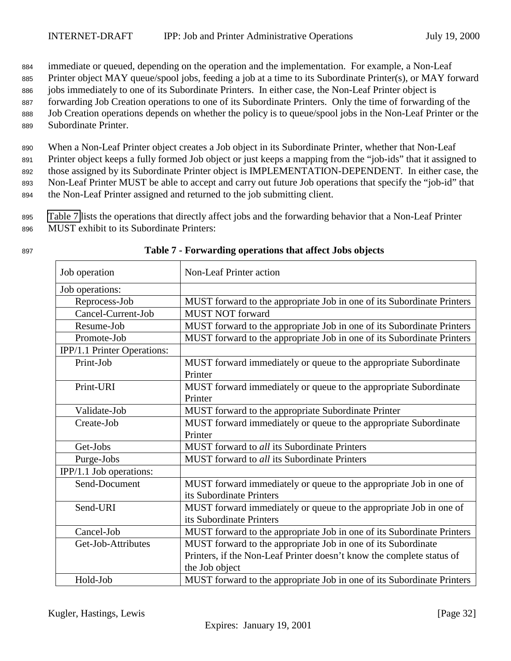<span id="page-31-0"></span><sup>884</sup> immediate or queued, depending on the operation and the implementation. For example, a Non-Leaf

885 Printer object MAY queue/spool jobs, feeding a job at a time to its Subordinate Printer(s), or MAY forward

<sup>886</sup> jobs immediately to one of its Subordinate Printers. In either case, the Non-Leaf Printer object is

- <sup>887</sup> forwarding Job Creation operations to one of its Subordinate Printers. Only the time of forwarding of the
- <sup>888</sup> Job Creation operations depends on whether the policy is to queue/spool jobs in the Non-Leaf Printer or the <sup>889</sup> Subordinate Printer.

 When a Non-Leaf Printer object creates a Job object in its Subordinate Printer, whether that Non-Leaf Printer object keeps a fully formed Job object or just keeps a mapping from the "job-ids" that it assigned to those assigned by its Subordinate Printer object is IMPLEMENTATION-DEPENDENT. In either case, the Non-Leaf Printer MUST be able to accept and carry out future Job operations that specify the "job-id" that the Non-Leaf Printer assigned and returned to the job submitting client.

<sup>895</sup> Table 7 lists the operations that directly affect jobs and the forwarding behavior that a Non-Leaf Printer <sup>896</sup> MUST exhibit to its Subordinate Printers:

| ×<br>۰.<br>w<br>۰. | I<br>M.<br>۰, |  |
|--------------------|---------------|--|
|                    |               |  |

| Job operation               | <b>Non-Leaf Printer action</b>                                         |
|-----------------------------|------------------------------------------------------------------------|
| Job operations:             |                                                                        |
| Reprocess-Job               | MUST forward to the appropriate Job in one of its Subordinate Printers |
| Cancel-Current-Job          | <b>MUST NOT forward</b>                                                |
| Resume-Job                  | MUST forward to the appropriate Job in one of its Subordinate Printers |
| Promote-Job                 | MUST forward to the appropriate Job in one of its Subordinate Printers |
| IPP/1.1 Printer Operations: |                                                                        |
| Print-Job                   | MUST forward immediately or queue to the appropriate Subordinate       |
|                             | Printer                                                                |
| Print-URI                   | MUST forward immediately or queue to the appropriate Subordinate       |
|                             | Printer                                                                |
| Validate-Job                | MUST forward to the appropriate Subordinate Printer                    |
| Create-Job                  | MUST forward immediately or queue to the appropriate Subordinate       |
|                             | Printer                                                                |
| Get-Jobs                    | MUST forward to all its Subordinate Printers                           |
| Purge-Jobs                  | MUST forward to all its Subordinate Printers                           |
| IPP/1.1 Job operations:     |                                                                        |
| Send-Document               | MUST forward immediately or queue to the appropriate Job in one of     |
|                             | its Subordinate Printers                                               |
| Send-URI                    | MUST forward immediately or queue to the appropriate Job in one of     |
|                             | its Subordinate Printers                                               |
| Cancel-Job                  | MUST forward to the appropriate Job in one of its Subordinate Printers |
| Get-Job-Attributes          | MUST forward to the appropriate Job in one of its Subordinate          |
|                             | Printers, if the Non-Leaf Printer doesn't know the complete status of  |
|                             | the Job object                                                         |
| Hold-Job                    | MUST forward to the appropriate Job in one of its Subordinate Printers |

#### <sup>897</sup> **Table 7 - Forwarding operations that affect Jobs objects**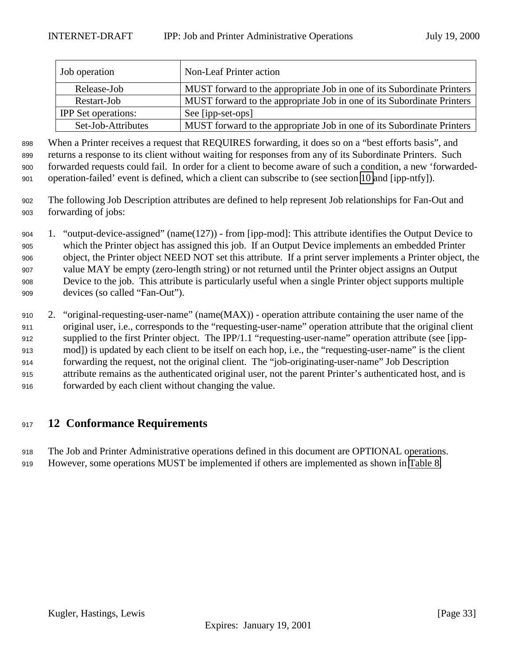<span id="page-32-0"></span>

| Job operation              | Non-Leaf Printer action                                                |
|----------------------------|------------------------------------------------------------------------|
| Release-Job                | MUST forward to the appropriate Job in one of its Subordinate Printers |
| Restart-Job                | MUST forward to the appropriate Job in one of its Subordinate Printers |
| <b>IPP</b> Set operations: | See [ipp-set-ops]                                                      |
| Set-Job-Attributes         | MUST forward to the appropriate Job in one of its Subordinate Printers |

 When a Printer receives a request that REQUIRES forwarding, it does so on a "best efforts basis", and returns a response to its client without waiting for responses from any of its Subordinate Printers. Such forwarded requests could fail. In order for a client to become aware of such a condition, a new 'forwarded-operation-failed' event is defined, which a client can subscribe to (see section [10](#page-24-0) and [ipp-ntfy]).

- The following Job Description attributes are defined to help represent Job relationships for Fan-Out and forwarding of jobs:
- 1. "output-device-assigned" (name(127)) from [ipp-mod]: This attribute identifies the Output Device to which the Printer object has assigned this job. If an Output Device implements an embedded Printer object, the Printer object NEED NOT set this attribute. If a print server implements a Printer object, the value MAY be empty (zero-length string) or not returned until the Printer object assigns an Output Device to the job. This attribute is particularly useful when a single Printer object supports multiple devices (so called "Fan-Out").
- 2. "original-requesting-user-name" (name(MAX)) operation attribute containing the user name of the original user, i.e., corresponds to the "requesting-user-name" operation attribute that the original client supplied to the first Printer object. The IPP/1.1 "requesting-user-name" operation attribute (see [ipp- mod]) is updated by each client to be itself on each hop, i.e., the "requesting-user-name" is the client forwarding the request, not the original client. The "job-originating-user-name" Job Description attribute remains as the authenticated original user, not the parent Printer's authenticated host, and is forwarded by each client without changing the value.

## **12 Conformance Requirements**

The Job and Printer Administrative operations defined in this document are OPTIONAL operations.

However, some operations MUST be implemented if others are implemented as shown in [Table 8.](#page-33-0)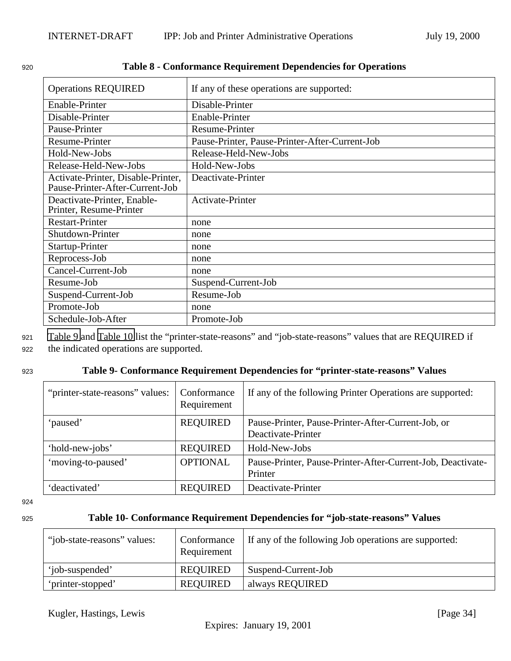| <b>Operations REQUIRED</b>                                            | If any of these operations are supported:      |
|-----------------------------------------------------------------------|------------------------------------------------|
| Enable-Printer                                                        | Disable-Printer                                |
| Disable-Printer                                                       | Enable-Printer                                 |
| Pause-Printer                                                         | <b>Resume-Printer</b>                          |
| Resume-Printer                                                        | Pause-Printer, Pause-Printer-After-Current-Job |
| Hold-New-Jobs                                                         | Release-Held-New-Jobs                          |
| Release-Held-New-Jobs                                                 | Hold-New-Jobs                                  |
| Activate-Printer, Disable-Printer,<br>Pause-Printer-After-Current-Job | Deactivate-Printer                             |
| Deactivate-Printer, Enable-<br>Printer, Resume-Printer                | Activate-Printer                               |
| <b>Restart-Printer</b>                                                | none                                           |
| Shutdown-Printer                                                      | none                                           |
| Startup-Printer                                                       | none                                           |
| Reprocess-Job                                                         | none                                           |
| Cancel-Current-Job                                                    | none                                           |
| Resume-Job                                                            | Suspend-Current-Job                            |
| Suspend-Current-Job                                                   | Resume-Job                                     |
| Promote-Job                                                           | none                                           |
| Schedule-Job-After                                                    | Promote-Job                                    |

#### <span id="page-33-0"></span><sup>920</sup> **Table 8 - Conformance Requirement Dependencies for Operations**

<sup>921</sup> Table 9 and Table 10 list the "printer-state-reasons" and "job-state-reasons" values that are REQUIRED if

<sup>922</sup> the indicated operations are supported.

## <sup>923</sup> **Table 9- Conformance Requirement Dependencies for "printer-state-reasons" Values**

| "printer-state-reasons" values: | Conformance<br>Requirement | If any of the following Printer Operations are supported:   |
|---------------------------------|----------------------------|-------------------------------------------------------------|
| 'paused'                        | <b>REQUIRED</b>            | Pause-Printer, Pause-Printer-After-Current-Job, or          |
|                                 |                            | Deactivate-Printer                                          |
| 'hold-new-jobs'                 | <b>REQUIRED</b>            | Hold-New-Jobs                                               |
| 'moving-to-paused'              | <b>OPTIONAL</b>            | Pause-Printer, Pause-Printer-After-Current-Job, Deactivate- |
|                                 |                            | Printer                                                     |
| 'deactivated'                   | <b>REQUIRED</b>            | Deactivate-Printer                                          |

924

## <sup>925</sup> **Table 10- Conformance Requirement Dependencies for "job-state-reasons" Values**

| "job-state-reasons" values: | Conformance<br>Requirement | If any of the following Job operations are supported: |
|-----------------------------|----------------------------|-------------------------------------------------------|
| 'iob-suspended'             | REQUIRED                   | Suspend-Current-Job                                   |
| 'printer-stopped'           | <b>REQUIRED</b>            | always REQUIRED                                       |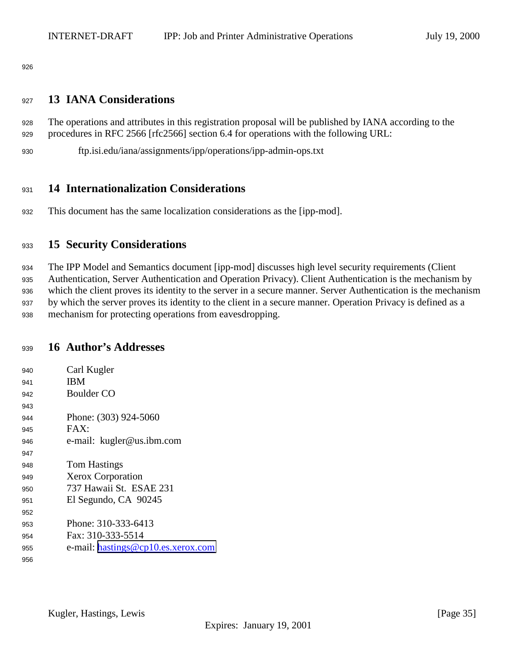<span id="page-34-0"></span>

## **13 IANA Considerations**

 The operations and attributes in this registration proposal will be published by IANA according to the procedures in RFC 2566 [rfc2566] section 6.4 for operations with the following URL:

ftp.isi.edu/iana/assignments/ipp/operations/ipp-admin-ops.txt

## **14 Internationalization Considerations**

This document has the same localization considerations as the [ipp-mod].

## **15 Security Considerations**

 The IPP Model and Semantics document [ipp-mod] discusses high level security requirements (Client Authentication, Server Authentication and Operation Privacy). Client Authentication is the mechanism by which the client proves its identity to the server in a secure manner. Server Authentication is the mechanism by which the server proves its identity to the client in a secure manner. Operation Privacy is defined as a mechanism for protecting operations from eavesdropping.

## **16 Author's Addresses**

| 940 | Carl Kugler                        |
|-----|------------------------------------|
| 941 | <b>IBM</b>                         |
| 942 | Boulder CO                         |
| 943 |                                    |
| 944 | Phone: (303) 924-5060              |
| 945 | FAX:                               |
| 946 | e-mail: kugler@us.ibm.com          |
| 947 |                                    |
| 948 | <b>Tom Hastings</b>                |
| 949 | <b>Xerox Corporation</b>           |
| 950 | 737 Hawaii St. ESAE 231            |
| 951 | El Segundo, CA 90245               |
| 952 |                                    |
| 953 | Phone: 310-333-6413                |
| 954 | Fax: 310-333-5514                  |
| 955 | e-mail: hastings@cp10.es.xerox.com |
| 956 |                                    |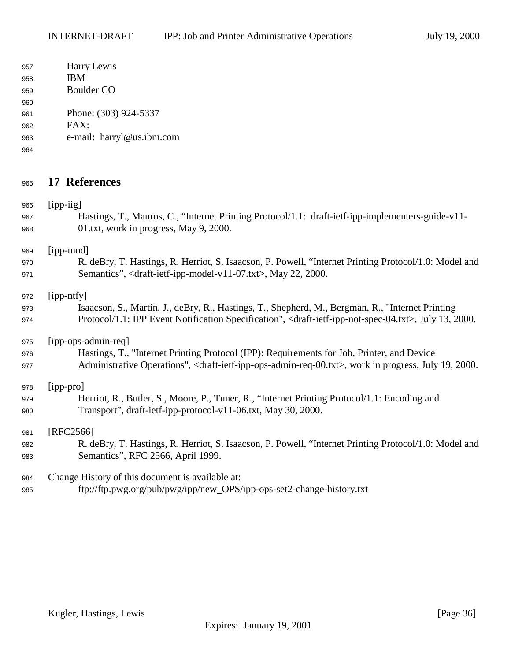<span id="page-35-0"></span>

| 957 | Harry Lewis               |
|-----|---------------------------|
| 958 | <b>IBM</b>                |
| 959 | Boulder CO                |
| 960 |                           |
| 961 | Phone: (303) 924-5337     |
| 962 | $FAX^{\dagger}$           |
| 963 | e-mail: harryl@us.ibm.com |
| 964 |                           |

# **17 References**

| 966 | [ipp-iig]                                                                                                                                 |
|-----|-------------------------------------------------------------------------------------------------------------------------------------------|
| 967 | Hastings, T., Manros, C., "Internet Printing Protocol/1.1: draft-ietf-ipp-implementers-guide-v11-                                         |
| 968 | 01.txt, work in progress, May 9, 2000.                                                                                                    |
| 969 | [ipp-mod]                                                                                                                                 |
| 970 | R. deBry, T. Hastings, R. Herriot, S. Isaacson, P. Powell, "Internet Printing Protocol/1.0: Model and                                     |
| 971 | Semantics", <draft-ietf-ipp-model-v11-07.txt>, May 22, 2000.</draft-ietf-ipp-model-v11-07.txt>                                            |
| 972 | [ipp-ntfy]                                                                                                                                |
| 973 | Isaacson, S., Martin, J., deBry, R., Hastings, T., Shepherd, M., Bergman, R., "Internet Printing                                          |
| 974 | Protocol/1.1: IPP Event Notification Specification", <draft-ietf-ipp-not-spec-04.txt>, July 13, 2000.</draft-ietf-ipp-not-spec-04.txt>    |
| 975 | [ipp-ops-admin-req]                                                                                                                       |
| 976 | Hastings, T., "Internet Printing Protocol (IPP): Requirements for Job, Printer, and Device                                                |
| 977 | Administrative Operations", <draft-ietf-ipp-ops-admin-req-00.txt>, work in progress, July 19, 2000.</draft-ietf-ipp-ops-admin-req-00.txt> |
| 978 | [ipp-pro]                                                                                                                                 |
| 979 | Herriot, R., Butler, S., Moore, P., Tuner, R., "Internet Printing Protocol/1.1: Encoding and                                              |
| 980 | Transport", draft-ietf-ipp-protocol-v11-06.txt, May 30, 2000.                                                                             |
| 981 | $[RFC2566]$                                                                                                                               |
| 982 | R. deBry, T. Hastings, R. Herriot, S. Isaacson, P. Powell, "Internet Printing Protocol/1.0: Model and                                     |
| 983 | Semantics", RFC 2566, April 1999.                                                                                                         |
| 984 | Change History of this document is available at:                                                                                          |
| 985 | ftp://ftp.pwg.org/pub/pwg/ipp/new_OPS/ipp-ops-set2-change-history.txt                                                                     |